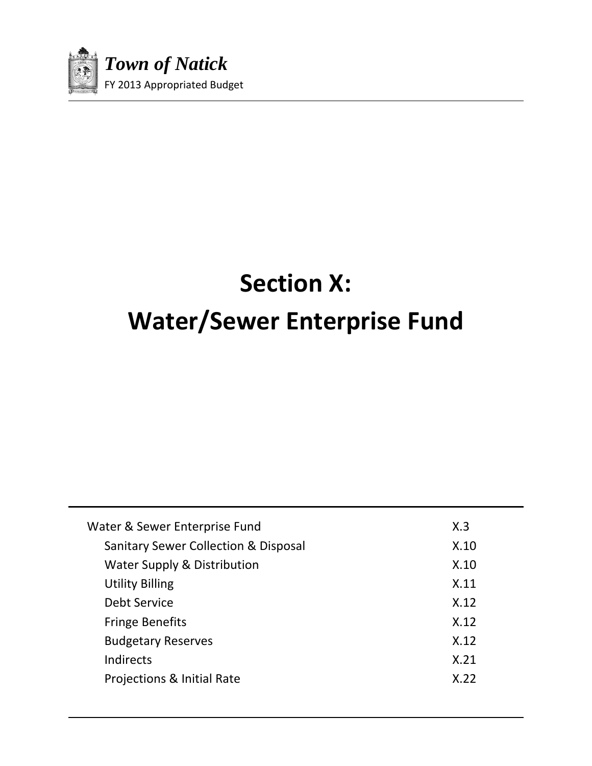

# **Section X: Water/Sewer Enterprise Fund**

| Water & Sewer Enterprise Fund        | X.3  |
|--------------------------------------|------|
| Sanitary Sewer Collection & Disposal | X.10 |
| Water Supply & Distribution          | X.10 |
| <b>Utility Billing</b>               | X.11 |
| Debt Service                         | X.12 |
| <b>Fringe Benefits</b>               | X.12 |
| <b>Budgetary Reserves</b>            | X.12 |
| <b>Indirects</b>                     | X.21 |
| Projections & Initial Rate           | X.22 |
|                                      |      |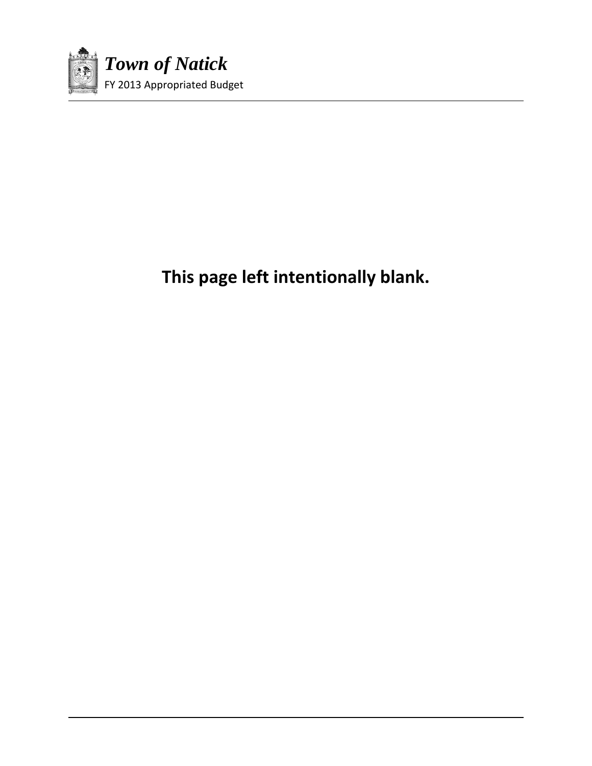

**This page left intentionally blank.**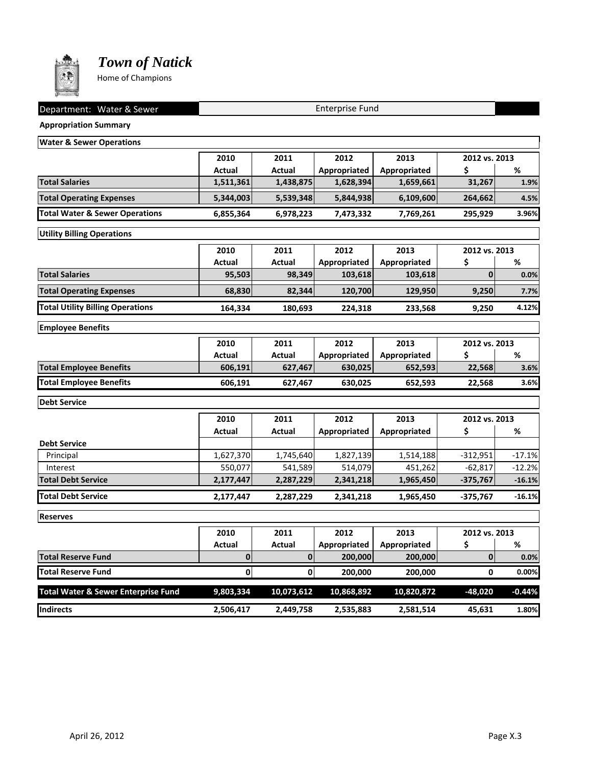

Home of Champions

| Department: Water & Sewer                      |               |               | <b>Enterprise Fund</b> |              |               |          |
|------------------------------------------------|---------------|---------------|------------------------|--------------|---------------|----------|
| <b>Appropriation Summary</b>                   |               |               |                        |              |               |          |
| <b>Water &amp; Sewer Operations</b>            |               |               |                        |              |               |          |
|                                                | 2010          | 2011          | 2012                   | 2013         | 2012 vs. 2013 |          |
|                                                | <b>Actual</b> | Actual        | Appropriated           | Appropriated | \$            | %        |
| <b>Total Salaries</b>                          | 1,511,361     | 1,438,875     | 1,628,394              | 1,659,661    | 31,267        | 1.9%     |
| <b>Total Operating Expenses</b>                | 5,344,003     | 5,539,348     | 5,844,938              | 6,109,600    | 264,662       | 4.5%     |
| <b>Total Water &amp; Sewer Operations</b>      | 6,855,364     | 6,978,223     | 7,473,332              | 7,769,261    | 295,929       | 3.96%    |
| <b>Utility Billing Operations</b>              |               |               |                        |              |               |          |
|                                                | 2010          | 2011          | 2012                   | 2013         | 2012 vs. 2013 |          |
|                                                | Actual        | Actual        | Appropriated           | Appropriated | \$            | ℅        |
| <b>Total Salaries</b>                          | 95,503        | 98,349        | 103,618                | 103,618      | $\mathbf 0$   | 0.0%     |
| <b>Total Operating Expenses</b>                | 68,830        | 82,344        | 120,700                | 129,950      | 9,250         | 7.7%     |
| <b>Total Utility Billing Operations</b>        | 164,334       | 180,693       | 224,318                | 233,568      | 9,250         | 4.12%    |
| <b>Employee Benefits</b>                       |               |               |                        |              |               |          |
|                                                | 2010          | 2011          | 2012                   | 2013         | 2012 vs. 2013 |          |
|                                                | Actual        | Actual        | Appropriated           | Appropriated | \$            | ℅        |
| <b>Total Employee Benefits</b>                 | 606,191       | 627,467       | 630,025                | 652,593      | 22,568        | 3.6%     |
| <b>Total Employee Benefits</b>                 | 606,191       | 627,467       | 630,025                | 652,593      | 22,568        | 3.6%     |
| <b>Debt Service</b>                            |               |               |                        |              |               |          |
|                                                | 2010          | 2011          | 2012                   | 2013         | 2012 vs. 2013 |          |
|                                                | Actual        | Actual        | Appropriated           | Appropriated | \$            | ℅        |
| <b>Debt Service</b>                            |               |               |                        |              |               |          |
| Principal                                      | 1,627,370     | 1,745,640     | 1,827,139              | 1,514,188    | $-312,951$    | $-17.1%$ |
| Interest                                       | 550,077       | 541,589       | 514,079                | 451,262      | $-62,817$     | $-12.2%$ |
| <b>Total Debt Service</b>                      | 2,177,447     | 2,287,229     | 2,341,218              | 1,965,450    | $-375,767$    | $-16.1%$ |
| <b>Total Debt Service</b>                      | 2,177,447     | 2,287,229     | 2,341,218              | 1,965,450    | $-375,767$    | $-16.1%$ |
| <b>Reserves</b>                                |               |               |                        |              |               |          |
|                                                | 2010          | 2011          | 2012                   | 2013         | 2012 vs. 2013 |          |
|                                                | Actual        | <b>Actual</b> | Appropriated           | Appropriated | \$            | %        |
| <b>Total Reserve Fund</b>                      | $\bf{0}$      | $\bf{0}$      | 200,000                | 200,000      | $\mathbf 0$   | 0.0%     |
| <b>Total Reserve Fund</b>                      | $\mathbf 0$   | $\mathbf{0}$  | 200,000                | 200,000      | 0             | 0.00%    |
| <b>Total Water &amp; Sewer Enterprise Fund</b> | 9,803,334     | 10,073,612    | 10,868,892             | 10,820,872   | $-48,020$     | $-0.44%$ |
| <b>Indirects</b>                               | 2,506,417     | 2,449,758     | 2,535,883              | 2,581,514    | 45,631        | 1.80%    |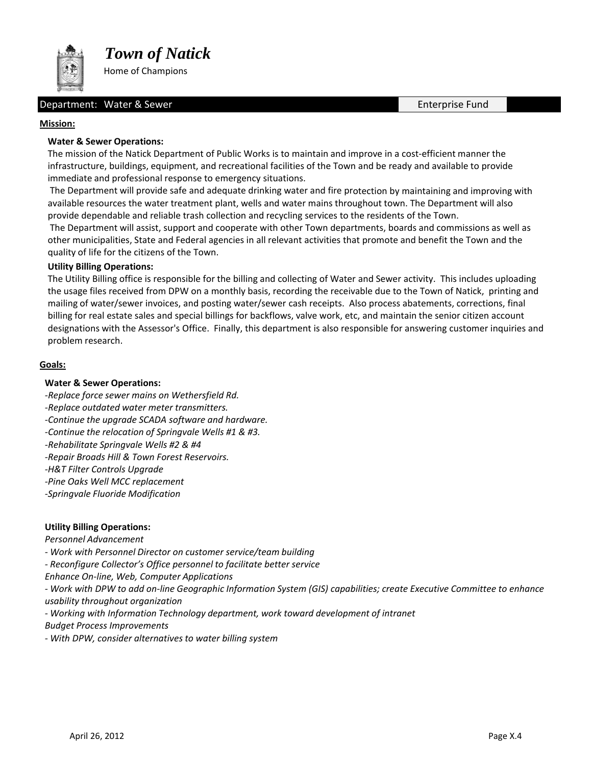

*Town of Natick* Home of Champions

#### Department: Water & Sewer

Enterprise Fund

#### **Mission:**

#### **Water & Sewer Operations:**

The mission of the Natick Department of Public Works is to maintain and improve in a cost-efficient manner the infrastructure, buildings, equipment, and recreational facilities of the Town and be ready and available to provide immediate and professional response to emergency situations.

The Department will provide safe and adequate drinking water and fire protection by maintaining and improving with available resources the water treatment plant, wells and water mains throughout town. The Department will also provide dependable and reliable trash collection and recycling services to the residents of the Town.

The Department will assist, support and cooperate with other Town departments, boards and commissions as well as other municipalities, State and Federal agencies in all relevant activities that promote and benefit the Town and the quality of life for the citizens of the Town.

#### **Utility Billing Operations:**

The Utility Billing office is responsible for the billing and collecting of Water and Sewer activity. This includes uploading the usage files received from DPW on a monthly basis, recording the receivable due to the Town of Natick, printing and mailing of water/sewer invoices, and posting water/sewer cash receipts. Also process abatements, corrections, final billing for real estate sales and special billings for backflows, valve work, etc, and maintain the senior citizen account designations with the Assessor's Office. Finally, this department is also responsible for answering customer inquiries and problem research.

#### **Goals:**

#### **Water & Sewer Operations:**

- *‐Replace force sewer mains on Wethersfield Rd. p f f*
- *‐Replace outdated water meter transmitters.*
- *‐Continue the upgrade SCADA software and hardware.*
- *‐Continue the relocation of Springvale Wells #1 & #3.*
- *‐Rehabilitate Springvale Wells #2 & #4*
- *‐Repair Broads Hill & Town Forest Reservoirs.*
- *‐H&T Filter Controls Upgrade*
- *‐Pine Oaks Well MCC replacement*
- *‐Springvale Fluoride Modification*

#### **Utility Billing Operations:**

#### *Personnel Advancement*

- *‐ Work with Personnel Director on customer service/team building*
- *‐ Reconfigure Collector's Office personnel to facilitate better service*
- *Enhance On‐line, Web, Computer Applications*
- Work with DPW to add on-line Geographic Information System (GIS) capabilities; create Executive Committee to enhance *usability throughout organization*
- *‐ Working with Information Technology department, work toward development of intranet*

*Budget Process Improvements*

*‐ With DPW, consider alternatives to water billing system*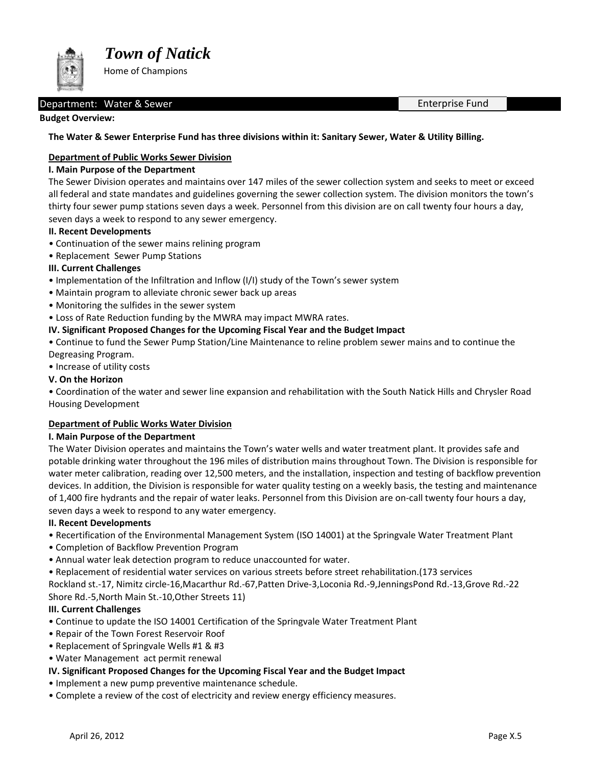

Department: Water & Sewer

Enterprise Fund

#### **Budget Overview:**

**The Water & Sewer Enterprise Fund has three divisions within it: Sanitary Sewer, Water & Utility Billing.**

#### **Department of Public Works Sewer Division**

#### **I. Main Purpose of the Department**

The Sewer Division operates and maintains over 147 miles of the sewer collection system and seeks to meet or exceed all federal and state mandates and guidelines governing the sewer collection system. The division monitors the town's thirty four sewer pump stations seven days a week. Personnel from this division are on call twenty four hours a day, seven days a week to respond to any sewer emergency.

#### **II. Recent Developments**

- Continuation of the sewer mains relining program
- Replacement Sewer Pump Stations

#### **III. Current Challenges**

- Implementation of the Infiltration and Inflow (I/I) study of the Town's sewer system
- Maintain program to alleviate chronic sewer back up areas
- Monitoring the sulfides in the sewer system
- Loss of Rate Reduction funding by the MWRA may impact MWRA rates.

#### **IV. Significant Proposed Changes for the Upcoming Fiscal Year and the Budget Impact**

- Continue to fund the Sewer Pump Station/Line Maintenance to reline problem sewer mains and to continue the Degreasing Program.
- Increase of utility costs
- **V. On the Horizon**

• Coordination of the water and sewer line expansion and rehabilitation with the South Natick Hills and Chrysler Road Housing Development

#### **Department of Public Works Water Division**

#### **I. Main Purpose of the Department**

The Water Division operates and maintains the Town's water wells and water treatment plant. It provides safe and potable drinking water throughout the 196 miles of distribution mains throughout Town. The Division is responsible for water meter calibration, reading over 12,500 meters, and the installation, inspection and testing of backflow prevention devices. In addition, the Division is responsible for water quality testing on a weekly basis, the testing and maintenance of 1,400 fire hydrants and the repair of water leaks. Personnel from this Division are on‐call twenty four hours a day, seven days a week to respond to any water emergency.

#### **II. Recent Developments**

- Recertification of the Environmental Management System (ISO 14001) at the Springvale Water Treatment Plant
- Completion of Backflow Prevention Program
- Annual water leak detection program to reduce unaccounted for water.
- Replacement of residential water services on various streets before street rehabilitation.(173 services

Rockland st.‐17, Nimitz circle‐16,Macarthur Rd.‐67,Patten Drive‐3,Loconia Rd.‐9,JenningsPond Rd.‐13,Grove Rd.‐22 Shore Rd.‐5,North Main St.‐10,Other Streets 11)

#### **III. Current Challenges**

- Continue to update the ISO 14001 Certification of the Springvale Water Treatment Plant
- Repair of the Town Forest Reservoir Roof
- Replacement of Springvale Wells #1 & #3
- Water Management act permit renewal

#### **IV. Significant Proposed Changes for the Upcoming Fiscal Year and the Budget Impact**

- Implement a new pump preventive maintenance schedule.
- Complete a review of the cost of electricity and review energy efficiency measures.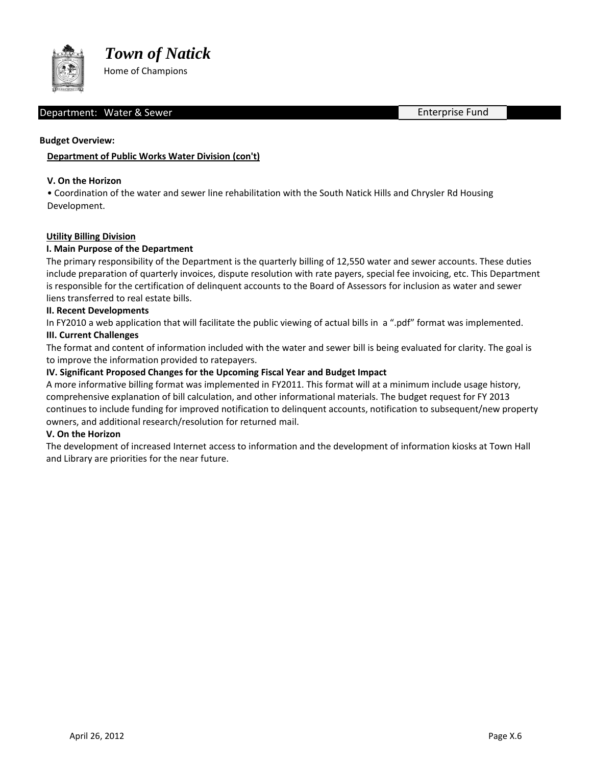

#### Department: Water & Sewer

Enterprise Fund

#### **Budget Overview:**

#### **Department of Public Works Water Division (con't)**

#### **V. On the Horizon**

• Coordination of the water and sewer line rehabilitation with the South Natick Hills and Chrysler Rd Housing Development.

#### **Utility Billing Division**

#### **I. Main Purpose of the Department**

The primary responsibility of the Department is the quarterly billing of 12,550 water and sewer accounts. These duties include preparation of quarterly invoices, dispute resolution with rate payers, special fee invoicing, etc. This Department is responsible for the certification of delinquent accounts to the Board of Assessors for inclusion as water and sewer liens transferred to real estate bills.

#### **II. Recent Developments**

In FY2010 a web application that will facilitate the public viewing of actual bills in a ".pdf" format was implemented.

#### **III. Current Challenges**

The format and content of information included with the water and sewer bill is being evaluated for clarity. The goal is to improve the information provided to ratepayers.

#### **IV. Significant Proposed Changes for the Upcoming Fiscal Year and Budget Impact**

A more informative billing format was implemented in FY2011. This format will at a minimum include usage history, comprehensive explanation of bill calculation, and other informational materials. The budget request for FY 2013 continues to include funding for improved notification to delinquent accounts, notification to subsequent/new property owners, and additional research/resolution for returned mail.

#### **V. On the Horizon**

The development of increased Internet access to information and the development of information kiosks at Town Hall and Library are priorities for the near future.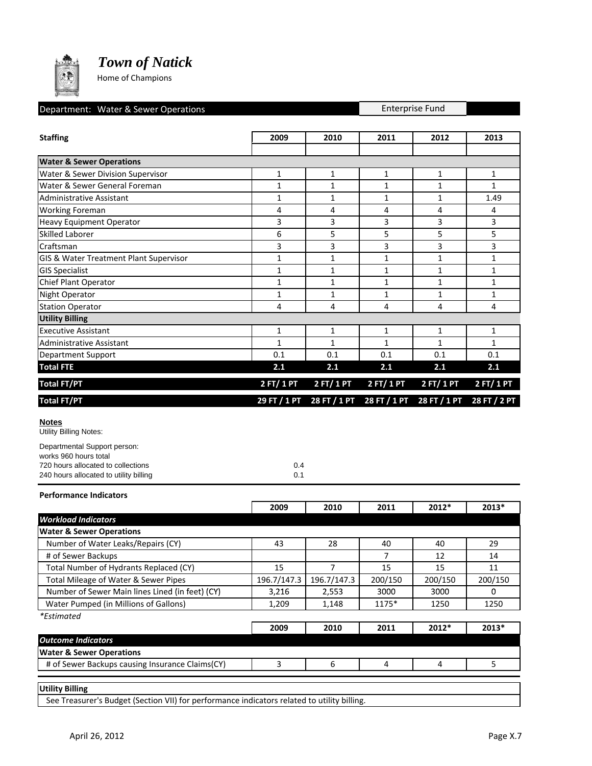

**Total FTE**

**Notes**

*Town of Natick*

Home of Champions

#### Department: Water & Sewer Operations

### **Staffing 2009 2010 2011 2012 2013** Enterprise Fund Water & Sewer Division Supervisor  $\begin{vmatrix} 1 & 1 & 1 & 1 & 1 \\ 1 & 1 & 1 & 1 \end{vmatrix}$  1 Water & Sewer General Foreman 1 1 1 1 1 Administrative Assistant 1 1 1 1 1.49 Working Foreman 4 4 4 4 4 Heavy Equipment Operator **1980** 3 3 3 3 3 3 3 3 3 3 3 3 3 3 4 3 3 4 3 3 4 3 3 4 3 3 4 3 4 3 4 3 4 3 4 3 4 3 4 3 4 3 4 3 4 3 4 3 4 3 4 3 4 4  $\pm$  3 4 5 3 4  $\pm$  3 4 5 3 4 5 3 4 5 3 4 5 3 4 5 3 4 5 3 4 5 3 4 5 3 4 5 3 4 5 3 Skill d L b 6 5 5 5 5 SkilledLaborer **Water & Sewer Operations** Craftsman 3 3 3 3 3 GIS & Water Treatment Plant Supervisor  $\begin{array}{ccc} | & 1 & 1 & 1 & 1 \\ 1 & 1 & 1 & 1 \end{array}$ GIS Specialist 1 1 1 1 1 Chief Plant Operator 1 1 1 1 1 Night Operator 1 1 1 1 1 Station Operator 4 4 4 4 4 **Utility Billing Utility** Executive Assistant 1 1 1 1 1 Administrative Assistant 1 1 1 1 1 Department Support 1 1 0.1 0.1 0.1 0.1 0.1 0.1 0.1 0.1 **2.1 2.1 2.1 2.1 2.1 Total FT/PT 2 FT/ 1 PT 2 FT/ 1 PT 2 FT/ 1 PT 2 FT/ 1 PT 2 FT/ 1 PT** Total FT/PT 28 FT / 1 PT 28 FT / 1 PT 28 FT / 1 PT 28 FT / 1 PT 28 FT / 1 PT 28 FT / 28 FT / 2 PT Utility Billing Notes: Departmental Support person: works 960 hours total 720 hours allocated to collections 0.4 240 hours allocated to utility billing 0.1

| <b>Performance Indicators</b>                   |             |             |         |         |         |
|-------------------------------------------------|-------------|-------------|---------|---------|---------|
|                                                 | 2009        | 2010        | 2011    | 2012*   | 2013*   |
| <b>Workload Indicators</b>                      |             |             |         |         |         |
| <b>Water &amp; Sewer Operations</b>             |             |             |         |         |         |
| Number of Water Leaks/Repairs (CY)              | 43          | 28          | 40      | 40      | 29      |
| # of Sewer Backups                              |             |             | 7       | 12      | 14      |
| Total Number of Hydrants Replaced (CY)          | 15          | 7           | 15      | 15      | 11      |
| Total Mileage of Water & Sewer Pipes            | 196.7/147.3 | 196.7/147.3 | 200/150 | 200/150 | 200/150 |
| Number of Sewer Main lines Lined (in feet) (CY) | 3,216       | 2,553       | 3000    | 3000    | 0       |
| Water Pumped (in Millions of Gallons)           | 1,209       | 1,148       | 1175*   | 1250    | 1250    |
| <i>*Estimated</i>                               |             |             |         |         |         |
|                                                 | 2009        | 2010        | 2011    | 2012*   | 2013*   |
| <b>Outcome Indicators</b>                       |             |             |         |         |         |
| <b>Water &amp; Sewer Operations</b>             |             |             |         |         |         |
| # of Sewer Backups causing Insurance Claims(CY) | 3           | 6           | 4       | 4       | 5.      |
|                                                 |             |             |         |         |         |
| <b>Utility Billing</b>                          |             |             |         |         |         |

See Treasurer's Budget (Section VII) for performance indicators related to utility billing.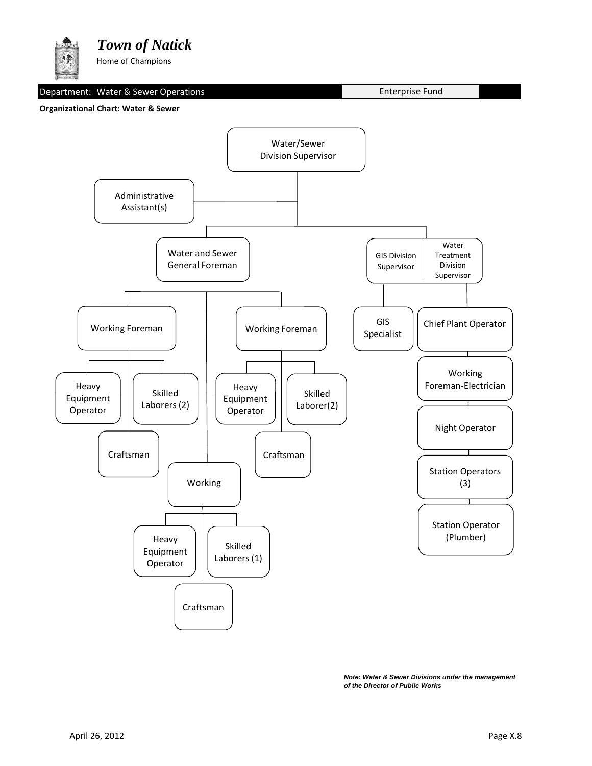

*Note: Water & Sewer Divisions under the management of the Director of Public Works*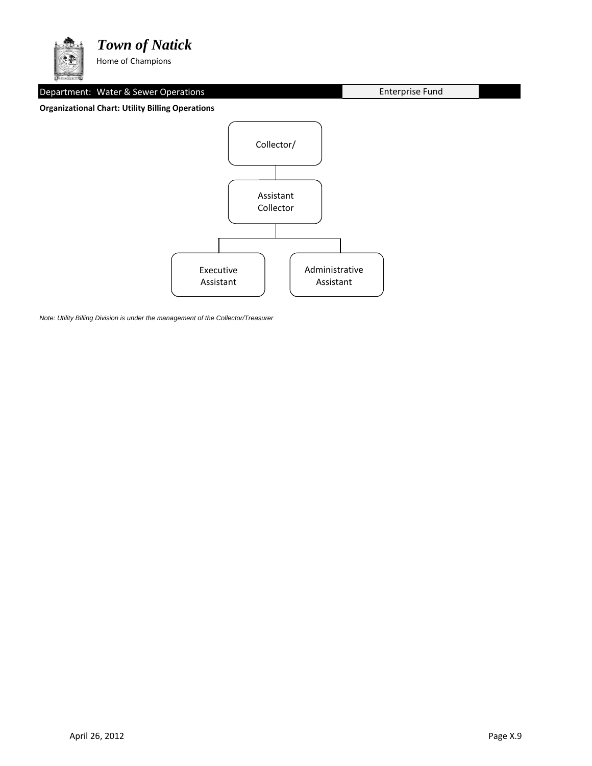



*Note: Utility Billing Division is under the management of the Collector/Treasurer*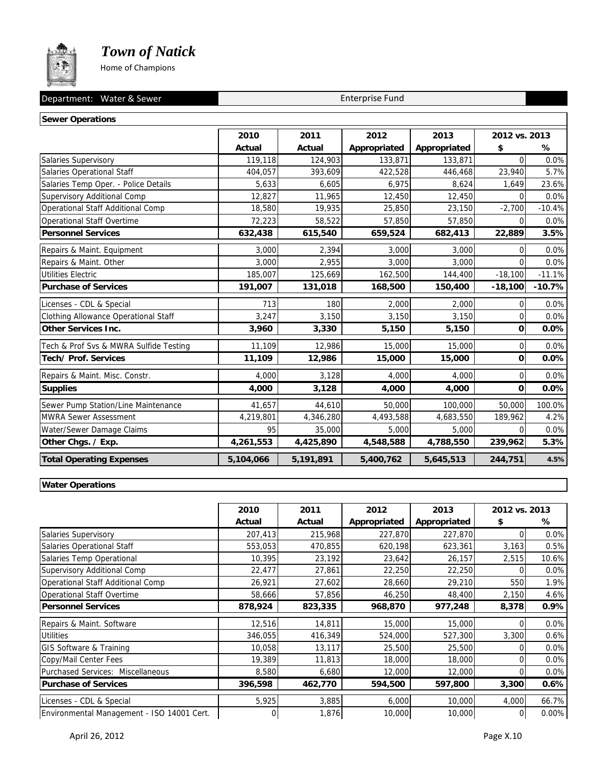

Home of Champions

#### Department: Water & Sewer

#### **Sewer Operations 2010 2011 2012 2013 Actual Actual Appropriated Appropriated \$ %** Salaries Supervisory 119,118 124,903 133,871 133,871 0 0.0% Salaries Operational Staff 404,057 393,609 422,528 446,468 23,940 5.7% Salaries Temp Oper. - Police Details | 5,633 | 6,605 | 6,975 | 8,624 | 1,649 | 23.6% Supervisory Additional Comp 12,827 11,965 12,450 12,450 0 0.0% Operational Staff Additional Comp 18,580 19,935 25,850 23,150 -2,700 -10.4% Operational Staff Overtime 72,223 58,522 57,850 57,850 0 0.0% **Personnel Services 632,438 615,540 659,524 682,413 22,889 3.5%** Repairs & Maint. Equipment 1 1 2,000 3,000 3,000 3,000 3,000 0 0.0% Repairs & Maint. Other **3.000** 3,000 3,000 3,000 3,000 3,000 3,000 0.0% Utilities Electric 185,007 125,669 162,500 144,400 -18,100 -11.1% **Purchase of Services 191,007 131,018 168,500 150,400 -18,100 -10.7%** Licenses - CDL & Special 713 180 2,000 2,000 0 0.0% Clothing Allowance Operational Staff 3,247 3,150 3,150 3,150 0 0.0% **Other Services Inc. 3,960 3,330 5,150 5,150 0 0.0%** Tech & Prof Svs & MWRA Sulfide Testing  $\begin{array}{ccc} 11,109 & 12,986 & 15,000 & 15,000 \end{array}$  0.0% **Tech/ Prof. Services 11,109 12,986 15,000 15,000 0 0.0%** Repairs & Maint. Misc. Constr. **A.com A.com 1** 4,000 **1** 4,000 **1** 4,000 **1** 6.0% **Supplies 4,000 3,128 4,000 4,000 0 0.0% 2012 vs. 2013** Sewer Pump Station/Line Maintenance  $\begin{array}{ccc} \mid & 41,657 & 44,610 & 50,000 & 100,000 & 50,000 & 100.0\% \end{array}$ MWRA Sewer Assessment 4,219,801 4,346,280 4,493,588 4,683,550 189,962 4.2% Water/Sewer Damage Claims 95 35,000 5,000 5,000 0 0.0% **Other Chgs. / Exp. 4,261,553 4,425,890 4,548,588 4,788,550 239,962 5.3% Total Operating Expenses 5,104,066 5,191,891 5,400,762 5,645,513 244,751 4.5%**

Enterprise Fund

#### **Water Operations**

|                                            | 2010    | 2011    | 2012         | 2013         | 2012 vs. 2013 |       |
|--------------------------------------------|---------|---------|--------------|--------------|---------------|-------|
|                                            | Actual  | Actual  | Appropriated | Appropriated | S             | ℅     |
| Salaries Supervisory                       | 207,413 | 215,968 | 227,870      | 227,870      | $\Omega$      | 0.0%  |
| Salaries Operational Staff                 | 553,053 | 470,855 | 620,198      | 623,361      | 3,163         | 0.5%  |
| Salaries Temp Operational                  | 10,395  | 23,192  | 23,642       | 26,157       | 2,515         | 10.6% |
| Supervisory Additional Comp                | 22,477  | 27,861  | 22,250       | 22,250       |               | 0.0%  |
| Operational Staff Additional Comp          | 26,921  | 27,602  | 28,660       | 29,210       | 550           | 1.9%  |
| <b>Operational Staff Overtime</b>          | 58,666  | 57,856  | 46,250       | 48,400       | 2,150         | 4.6%  |
| <b>Personnel Services</b>                  | 878,924 | 823,335 | 968,870      | 977,248      | 8,378         | 0.9%  |
| Repairs & Maint. Software                  | 12,516  | 14,811  | 15,000       | 15,000       | 0             | 0.0%  |
| <b>Utilities</b>                           | 346,055 | 416,349 | 524,000      | 527,300      | 3,300         | 0.6%  |
| <b>GIS Software &amp; Training</b>         | 10,058  | 13,117  | 25,500       | 25,500       |               | 0.0%  |
| Copy/Mail Center Fees                      | 19,389  | 11,813  | 18,000       | 18,000       |               | 0.0%  |
| Purchased Services: Miscellaneous          | 8,580   | 6,680   | 12,000       | 12,000       |               | 0.0%  |
| <b>Purchase of Services</b>                | 396,598 | 462,770 | 594,500      | 597,800      | 3,300         | 0.6%  |
| Licenses - CDL & Special                   | 5,925   | 3,885   | 6,000        | 10,000       | 4,000         | 66.7% |
| Environmental Management - ISO 14001 Cert. |         | 1,876   | 10,000       | 10,000       | 0             | 0.00% |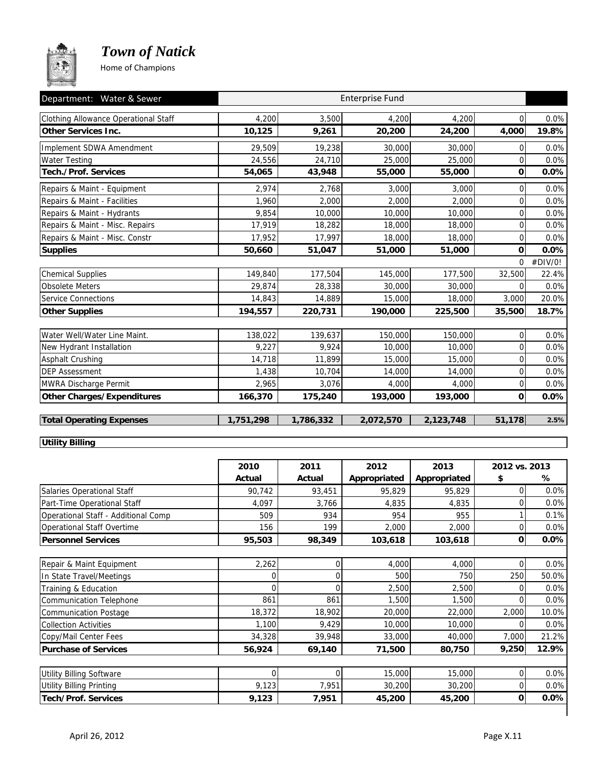Home of Champions

| Department: Water & Sewer                   |           | <b>Enterprise Fund</b> |           |           |                |             |  |  |
|---------------------------------------------|-----------|------------------------|-----------|-----------|----------------|-------------|--|--|
| <b>Clothing Allowance Operational Staff</b> | 4,200     | 3,500                  | 4,200     | 4,200     | $\overline{0}$ | 0.0%        |  |  |
| <b>Other Services Inc.</b>                  | 10,125    | 9,261                  | 20,200    | 24,200    | 4,000          | 19.8%       |  |  |
| Implement SDWA Amendment                    | 29,509    | 19,238                 | 30,000    | 30,000    | $\overline{0}$ | 0.0%        |  |  |
| <b>Water Testing</b>                        | 24,556    | 24,710                 | 25,000    | 25,000    | $\overline{0}$ | 0.0%        |  |  |
| <b>Tech./Prof. Services</b>                 | 54,065    | 43,948                 | 55,000    | 55,000    | $\mathbf 0$    | $0.0\%$     |  |  |
| Repairs & Maint - Equipment                 | 2,974     | 2.768                  | 3,000     | 3.000     | $\overline{O}$ | 0.0%        |  |  |
| Repairs & Maint - Facilities                | 1,960     | 2,000                  | 2,000     | 2,000     | $\overline{0}$ | 0.0%        |  |  |
| Repairs & Maint - Hydrants                  | 9.854     | 10,000                 | 10,000    | 10,000    | $\overline{0}$ | 0.0%        |  |  |
| Repairs & Maint - Misc. Repairs             | 17,919    | 18,282                 | 18,000    | 18,000    | $\overline{0}$ | 0.0%        |  |  |
| Repairs & Maint - Misc. Constr              | 17,952    | 17,997                 | 18,000    | 18,000    | $\overline{0}$ | 0.0%        |  |  |
| <b>Supplies</b>                             | 50,660    | 51,047                 | 51,000    | 51,000    | $\mathbf 0$    | 0.0%        |  |  |
|                                             |           |                        |           |           |                | $0$ #DIV/0! |  |  |
| <b>Chemical Supplies</b>                    | 149,840   | 177,504                | 145,000   | 177,500   | 32,500         | 22.4%       |  |  |
| <b>Obsolete Meters</b>                      | 29,874    | 28,338                 | 30,000    | 30,000    | $\Omega$       | 0.0%        |  |  |
| <b>Service Connections</b>                  | 14,843    | 14,889                 | 15,000    | 18,000    | 3,000          | 20.0%       |  |  |
| <b>Other Supplies</b>                       | 194,557   | 220,731                | 190,000   | 225,500   | 35,500         | 18.7%       |  |  |
| Water Well/Water Line Maint.                | 138,022   | 139,637                | 150,000   | 150,000   | $\overline{0}$ | 0.0%        |  |  |
| New Hydrant Installation                    | 9.227     | 9,924                  | 10,000    | 10,000    | $\Omega$       | 0.0%        |  |  |
| Asphalt Crushing                            | 14,718    | 11,899                 | 15,000    | 15,000    | $\overline{0}$ | 0.0%        |  |  |
| <b>DEP Assessment</b>                       | 1,438     | 10,704                 | 14,000    | 14,000    | $\overline{0}$ | 0.0%        |  |  |
| MWRA Discharge Permit                       | 2,965     | 3,076                  | 4,000     | 4,000     | $\overline{0}$ | 0.0%        |  |  |
| <b>Other Charges/Expenditures</b>           | 166,370   | 175,240                | 193,000   | 193,000   | $\mathbf 0$    | $0.0\%$     |  |  |
| <b>Total Operating Expenses</b>             | 1,751,298 | 1,786,332              | 2,072,570 | 2,123,748 | 51,178         | 2.5%        |  |  |
| <b>Utility Billing</b>                      |           |                        |           |           |                |             |  |  |

|                                     | 2010   | 2011           | 2012         | 2013         | 2012 vs. 2013  |       |  |
|-------------------------------------|--------|----------------|--------------|--------------|----------------|-------|--|
|                                     | Actual | Actual         | Appropriated | Appropriated | \$             | %     |  |
| Salaries Operational Staff          | 90,742 | 93,451         | 95,829       | 95,829       | $\overline{0}$ | 0.0%  |  |
| Part-Time Operational Staff         | 4,097  | 3,766          | 4,835        | 4,835        | O.             | 0.0%  |  |
| Operational Staff - Additional Comp | 509    | 934            | 954          | 955          |                | 0.1%  |  |
| <b>Operational Staff Overtime</b>   | 156    | 199            | 2,000        | 2,000        | $\Omega$       | 0.0%  |  |
| <b>Personnel Services</b>           | 95,503 | 98,349         | 103,618      | 103,618      | $\overline{0}$ | 0.0%  |  |
|                                     |        |                |              |              |                |       |  |
| Repair & Maint Equipment            | 2,262  | $\overline{0}$ | 4,000        | 4,000        | $\overline{0}$ | 0.0%  |  |
| In State Travel/Meetings            |        | 0              | 500          | 750          | 250            | 50.0% |  |
| Training & Education                |        |                | 2,500        | 2,500        |                | 0.0%  |  |
| <b>Communication Telephone</b>      | 861    | 861            | 1,500        | 1,500        |                | 0.0%  |  |
| <b>Communication Postage</b>        | 18,372 | 18,902         | 20,000       | 22,000       | 2,000          | 10.0% |  |
| <b>Collection Activities</b>        | 1,100  | 9,429          | 10,000       | 10,000       | $\Omega$       | 0.0%  |  |
| Copy/Mail Center Fees               | 34,328 | 39,948         | 33,000       | 40,000       | 7,000          | 21.2% |  |
| <b>Purchase of Services</b>         | 56,924 | 69,140         | 71,500       | 80,750       | 9,250          | 12.9% |  |
|                                     |        |                |              |              |                |       |  |
| <b>Utility Billing Software</b>     | 0      | 0              | 15,000       | 15,000       | $\overline{0}$ | 0.0%  |  |
| <b>Utility Billing Printing</b>     | 9,123  | 7,951          | 30,200       | 30,200       | $\overline{0}$ | 0.0%  |  |
| <b>Tech/Prof. Services</b>          | 9,123  | 7,951          | 45,200       | 45,200       | $\overline{0}$ | 0.0%  |  |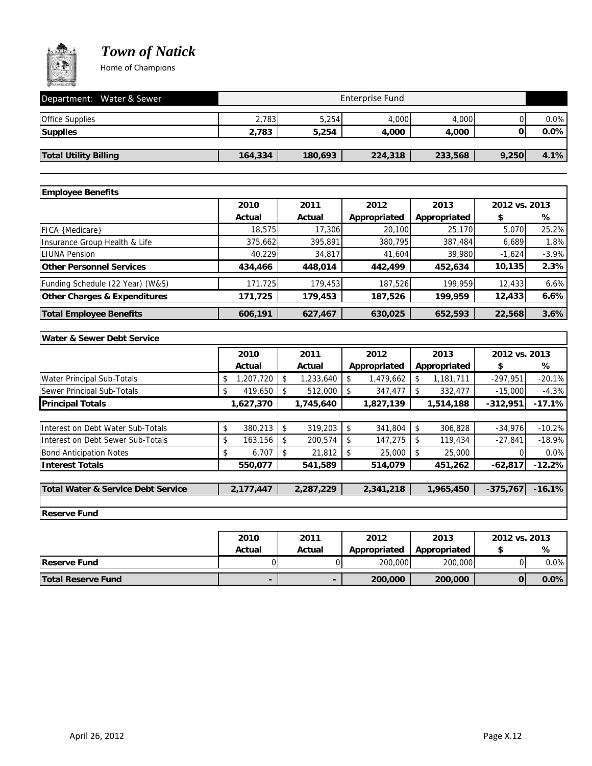

Home of Champions

| Department: Water & Sewer    |         | <b>Enterprise Fund</b> |         |         |       |         |  |  |  |  |
|------------------------------|---------|------------------------|---------|---------|-------|---------|--|--|--|--|
| <b>Office Supplies</b>       | 2,783   | 5,254                  | 4.000   | 4,000   |       | $0.0\%$ |  |  |  |  |
| <b>Supplies</b>              | 2,783   | 5.254                  | 4,000   | 4,000   |       | 0.0%    |  |  |  |  |
| <b>Total Utility Billing</b> | 164,334 | 180,693                | 224,318 | 233,568 | 9,250 | 4.1%    |  |  |  |  |

#### **Employee Benefits**

|                                         | 2010    | 2011    | 2012         | 2013         | 2012 vs. 2013 |         |
|-----------------------------------------|---------|---------|--------------|--------------|---------------|---------|
|                                         | Actual  | Actual  | Appropriated | Appropriated | S             | %       |
| FICA {Medicare}                         | 18,575  | 17,306  | 20,100       | 25,170       | 5,070         | 25.2%   |
| Insurance Group Health & Life           | 375,662 | 395,891 | 380,795      | 387,484      | 6,689         | 1.8%    |
| <b>LIUNA Pension</b>                    | 40,229  | 34,817  | 41,604       | 39,980       | $-1,624$      | $-3.9%$ |
| <b>Other Personnel Services</b>         | 434,466 | 448,014 | 442,499      | 452,634      | 10,135        | 2.3%    |
| Funding Schedule (22 Year) (W&S)        | 171.725 | 179,453 | 187,526      | 199.959      | 12,433        | 6.6%    |
| <b>Other Charges &amp; Expenditures</b> | 171,725 | 179,453 | 187,526      | 199.959      | 12,433        | 6.6%    |
| <b>Total Employee Benefits</b>          | 606,191 | 627,467 | 630,025      | 652,593      | 22,568        | 3.6%    |

#### **Water & Sewer Debt Service**

|                                               | 2010           | 2011      |    | 2012         |    | 2013         | 2012 vs. 2013 |          |
|-----------------------------------------------|----------------|-----------|----|--------------|----|--------------|---------------|----------|
|                                               | Actual         | Actual    |    | Appropriated |    | Appropriated | S             | %        |
| Water Principal Sub-Totals                    | \$<br>,207,720 | 1,233,640 | \$ | 1,479,662    | \$ | 1,181,711    | $-297,951$    | $-20.1%$ |
| Sewer Principal Sub-Totals                    | \$<br>419,650  | 512,000   | \$ | 347,477      | \$ | 332,477      | $-15,000$     | $-4.3%$  |
| <b>Principal Totals</b>                       | 1,627,370      | 1,745,640 |    | 1,827,139    |    | 1,514,188    | $-312,951$    | $-17.1%$ |
|                                               |                |           |    |              |    |              |               |          |
| Interest on Debt Water Sub-Totals             | \$<br>380,213  | 319,203   | \$ | 341,804      | \$ | 306,828      | $-34,976$     | $-10.2%$ |
| Interest on Debt Sewer Sub-Totals             | \$<br>163,156  | 200,574   |    | 147,275      | \$ | 119,434      | $-27,841$     | $-18.9%$ |
| <b>Bond Anticipation Notes</b>                | \$<br>6,707    | 21,812    | \$ | 25,000       | \$ | 25,000       |               | 0.0%     |
| <b>Interest Totals</b>                        | 550,077        | 541,589   |    | 514,079      |    | 451,262      | $-62,817$     | $-12.2%$ |
|                                               |                |           |    |              |    |              |               |          |
| <b>Total Water &amp; Service Debt Service</b> | 2,177,447      | 2,287,229 |    | 2,341,218    |    | 1,965,450    | $-375,767$    | $-16.1%$ |
|                                               |                |           |    |              |    |              |               |          |
| <b>Reserve Fund</b>                           |                |           |    |              |    |              |               |          |

|                     | 2010<br>2011 |        | 2012         | 2013         | 2012 vs. 2013 |         |
|---------------------|--------------|--------|--------------|--------------|---------------|---------|
|                     | Actual       | Actual | Appropriated | Appropriated |               | %       |
| <b>Reserve Fund</b> |              |        | 200,000      | 200,000      |               | $0.0\%$ |
| Total Reserve Fund  | $\sim$       |        | 200,000      | 200,000      |               | 0.0%    |

┓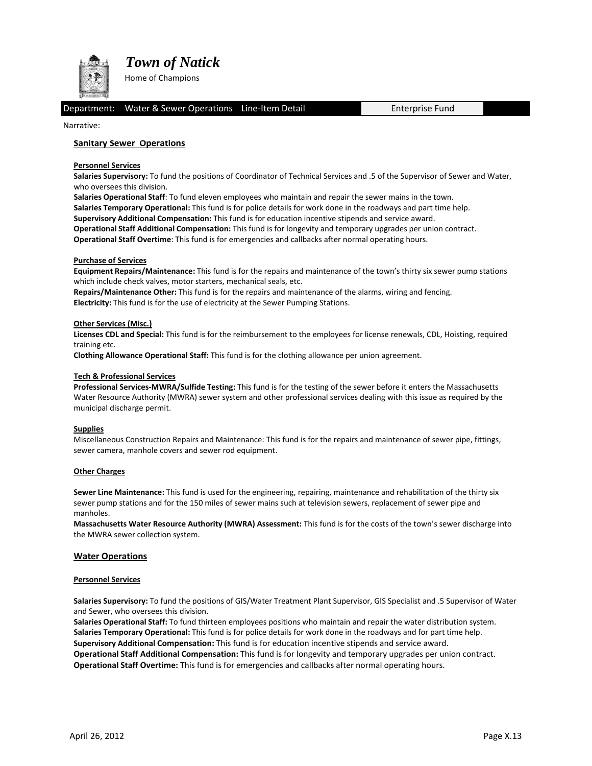

Home of Champions

#### Department: Water & Sewer Operations Line-Item Detail

Enterprise Fund

#### Narrative:

#### **Sanitary Sewer Operations**

#### **Personnel Services**

**Salaries Supervisory:** To fund the positions of Coordinator of Technical Services and .5 of the Supervisor of Sewer and Water, who oversees this division.

**Salaries Operational Staff**: To fund eleven employees who maintain and repair the sewer mains in the town. **Salaries Temporary Operational:** This fund is for police details for work done in the roadways and part time help. **Supervisory Additional Compensation:** This fund is for education incentive stipends and service award. **Operational Staff Additional Compensation:** This fund is for longevity and temporary upgrades per union contract. **Operational Staff Overtime**: This fund is for emergencies and callbacks after normal operating hours.

#### **Purchase of Services**

**Equipment Repairs/Maintenance:** This fund is for the repairs and maintenance of the town's thirty six sewer pump stations which include check valves, motor starters, mechanical seals, etc.

**Repairs/Maintenance Other:** This fund is for the repairs and maintenance of the alarms, wiring and fencing. **Electricity:** This fund is for the use of electricity at the Sewer Pumping Stations.

#### **Other Services (Misc.)**

**Licenses CDL and Special:** This fund is for the reimbursement to the employees for license renewals, CDL, Hoisting, required training etc.

**Clothing Allowance Operational Staff:** This fund is for the clothing allowance per union agreement.

#### **Tech & Professional Services**

**Professional Services‐MWRA/Sulfide Testing:** This fund is for the testing of the sewer before it enters the Massachusetts Water Resource Authority (MWRA) sewer system and other professional services dealing with this issue as required by the municipal discharge permit.

#### **Supplies**

Miscellaneous Construction Repairs and Maintenance: This fund is for the repairs and maintenance of sewer pipe, fittings, sewer camera, manhole covers and sewer rod equipment.

#### **Other Charges**

**Sewer Line Maintenance:** This fund is used for the engineering, repairing, maintenance and rehabilitation of the thirty six sewer pump stations and for the 150 miles of sewer mains such at television sewers, replacement of sewer pipe and manholes.

**Massachusetts Water Resource Authority (MWRA) Assessment:** This fund is for the costs of the town's sewer discharge into the MWRA sewer collection system.

#### **Water Operations**

#### **Personnel Services**

**Salaries Supervisory:** To fund the positions of GIS/Water Treatment Plant Supervisor, GIS Specialist and .5 Supervisor of Water and Sewer, who oversees this division.

**Salaries Operational Staff:** To fund thirteen employees positions who maintain and repair the water distribution system. **Salaries Temporary Operational:** This fund is for police details for work done in the roadways and for part time help. **Supervisory Additional Compensation:** This fund is for education incentive stipends and service award.

**Operational Staff Additional Compensation:** This fund is for longevity and temporary upgrades per union contract. **Operational Staff Overtime:** This fund is for emergencies and callbacks after normal operating hours.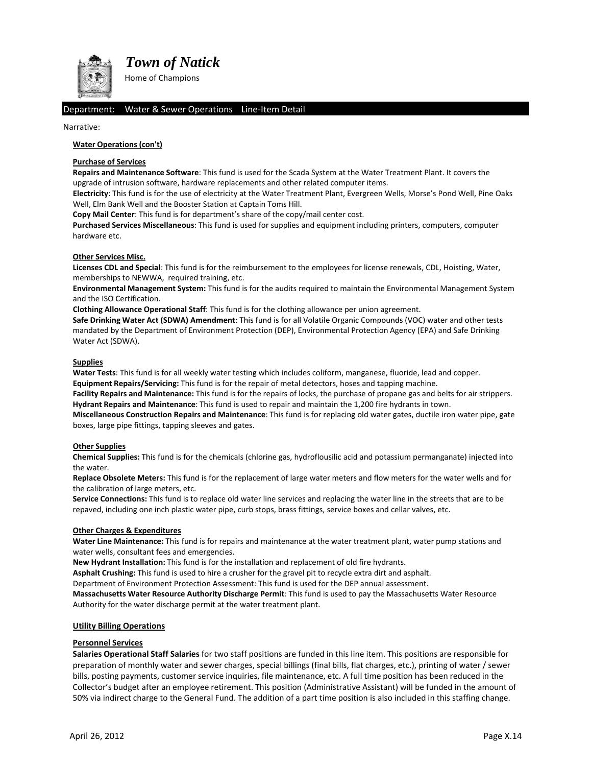

Home of Champions

#### Department: Water & Sewer Operations Line-Item Detail

#### Narrative:

#### **Water Operations (con't)**

#### **Purchase of Services**

**Repairs and Maintenance Software**: This fund is used for the Scada System at the Water Treatment Plant. It covers the upgrade of intrusion software, hardware replacements and other related computer items.

**Electricity**: This fund is for the use of electricity at the Water Treatment Plant, Evergreen Wells, Morse's Pond Well, Pine Oaks Well, Elm Bank Well and the Booster Station at Captain Toms Hill.

**Copy Mail Center**: This fund is for department's share of the copy/mail center cost.

**Purchased Services Miscellaneous**: This fund is used for supplies and equipment including printers, computers, computer hardware etc.

#### **Other Services Misc.**

**Licenses CDL and Special**: This fund is for the reimbursement to the employees for license renewals, CDL, Hoisting, Water, memberships to NEWWA, required training, etc.

**Environmental Management System:** This fund is for the audits required to maintain the Environmental Management System and the ISO Certification.

**Clothing Allowance Operational Staff**: This fund is for the clothing allowance per union agreement.

**Safe Drinking Water Drinking Act (SDWA) Amendment** : This fund is for all Volatile Organic Compounds (VOC) water and other tests mandated by the Department of Environment Protection (DEP), Environmental Protection Agency (EPA) and Safe Drinking Water Act (SDWA).

#### **Supplies**

**Water Tests**: This fund is for all weekly water testing which includes coliform, manganese, fluoride, lead and copper. **Equipment Repairs/Servicing:** This fund is for the repair of metal detectors, hoses and tapping machine.

**Facility Repairs and Maintenance:** This fund is for the repairs of locks, the purchase of propane gas and belts for air strippers. **Hydrant Repairs and Maintenance**: This fund is used to repair and maintain the 1,200 fire hydrants in town.

**Miscellaneous Construction Repairs and Maintenance**: This fund is for replacing old water gates, ductile iron water pipe, gate boxes, large pipe fittings, tapping sleeves and gates.

#### **Other Supplies**

**Chemical Supplies:** This fund is for the chemicals (chlorine gas, hydroflousilic acid and potassium permanganate) injected into the water.

**Replace Obsolete Meters:** This fund is for the replacement of large water meters and flow meters for the water wells and for the calibration of large meters, etc.

**Service Connections:** This fund is to replace old water line services and replacing the water line in the streets that are to be repaved, including one inch plastic water pipe, curb stops, brass fittings, service boxes and cellar valves, etc.

#### **Other Charges & Expenditures**

**Water Line Maintenance:** This fund is for repairs and maintenance at the water treatment plant, water pump stations and water wells, consultant fees and emergencies.

**New Hydrant Installation:** This fund is for the installation and replacement of old fire hydrants.

**Asphalt Crushing:** This fund is used to hire a crusher for the gravel pit to recycle extra dirt and asphalt.

Department of Environment Protection Assessment: This fund is used for the DEP annual assessment.

**Massachusetts Water Resource Authority Discharge Permit**: This fund is used to pay the Massachusetts Water Resource Authority for the water discharge permit at the water treatment plant.

#### **Utility Billing Operations**

#### **Personnel Services**

**Salaries Operational Staff Salaries** for two staff positions are funded in this line item. This positions are responsible for preparation of monthly water and sewer charges, special billings (final bills, flat charges, etc.), printing of water / sewer bills, posting payments, customer service inquiries, file maintenance, etc. A full time position has been reduced in the Collector's budget after an employee retirement. This position (Administrative Assistant) will be funded in the amount of 50% via indirect charge to the General Fund. The addition of a part time position is also included in this staffing change.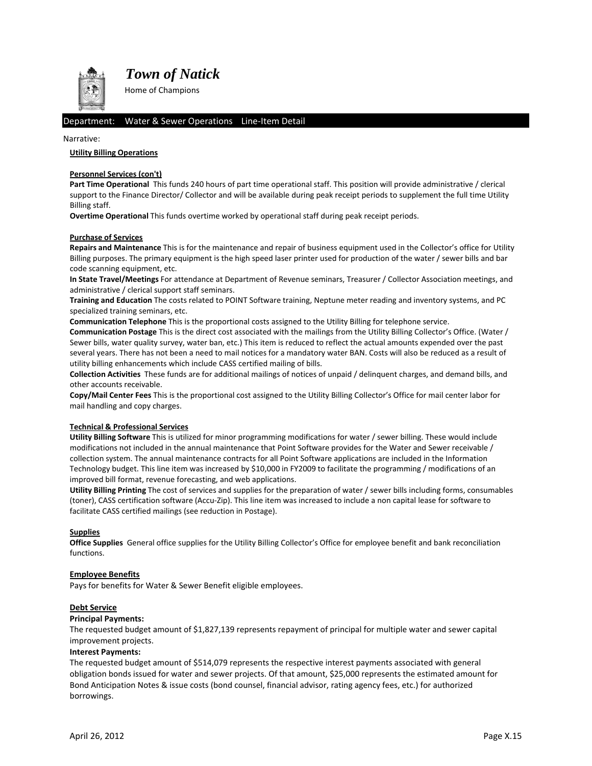

Home of Champions

#### Department: Water & Sewer Operations Line-Item Detail

Narrative:

#### **Utility Billing Operations**

#### **Personnel Services (con't)**

**Part Time Operational** This funds 240 hours of part time operational staff. This position will provide administrative / clerical support to the Finance Director/ Collector and will be available during peak receipt periods to supplement the full time Utility Billing staff.

**Overtime Operational** This funds overtime worked by operational staff during peak receipt periods.

#### **Purchase of Services**

**Repairs and Maintenance** This is for the maintenance and repair of business equipment used in the Collector's office for Utility Billing purposes. The primary equipment is the high speed laser printer used for production of the water / sewer bills and bar code scanning equipment, etc.

**In State Travel/Meetings** For attendance at Department of Revenue seminars, Treasurer / Collector Association meetings, and administrative / clerical support staff seminars.

**Training and Education** The costs related to POINT Software training, Neptune meter reading and inventory systems, and PC specialized training seminars, etc.

**Communication Telephone** This is the proportional costs assigned to the Utility Billing for telephone service.

**Communication Postage** This is the direct cost associated with the mailings from the Utility Billing Collector's Office. (Water / Sewer bills, water quality survey, water ban, etc.) This item is reduced to reflect the actual amounts expended over the past several years. There has not been a need to mail notices for a mandatory water BAN. Costs will also be reduced as a result of utility billing enhancements which include CASS certified mailing of bills.

**Collection Activities** These funds are for additional mailings of notices of unpaid / delinquent charges, and demand bills, and other accounts receivable.

**Copy/Mail Center Fees** This is the proportional cost assigned to the Utility Billing Collector's Office for mail center labor for mail handling and copy charges.

#### **Technical & Professional Services**

**Utility Billing Software** This is utilized for minor programming modifications for water / sewer billing. These would include modifications not included in the annual maintenance that Point Software provides for the Water and Sewer receivable / collection system. The annual maintenance contracts for all Point Software applications are included in the Information Technology budget. This line item was increased by \$10,000 in FY2009 to facilitate the programming / modifications of an improved bill format, revenue forecasting, and web applications.

**Utility Billing Printing** The cost of services and supplies for the preparation of water / sewer bills including forms, consumables (toner), CASS certification software (Accu-Zip). This line item was increased to include a non capital lease for software to facilitate CASS certified mailings (see reduction in Postage).

#### **Supplies**

**Office Supplies** General office supplies for the Utility Billing Collector's Office for employee benefit and bank reconciliation functions.

#### **Employee Benefits**

Pays for benefits for Water & Sewer Benefit eligible employees.

#### **Debt Service**

#### **Principal Payments:**

The requested budget amount of \$1,827,139 represents repayment of principal for multiple water and sewer capital improvement projects.

#### **Interest Payments:**

The requested budget amount of \$514,079 represents the respective interest payments associated with general obligation bonds issued for water and sewer projects. Of that amount, \$25,000 represents the estimated amount for Bond Anticipation Notes & issue costs (bond counsel, financial advisor, rating agency fees, etc.) for authorized borrowings.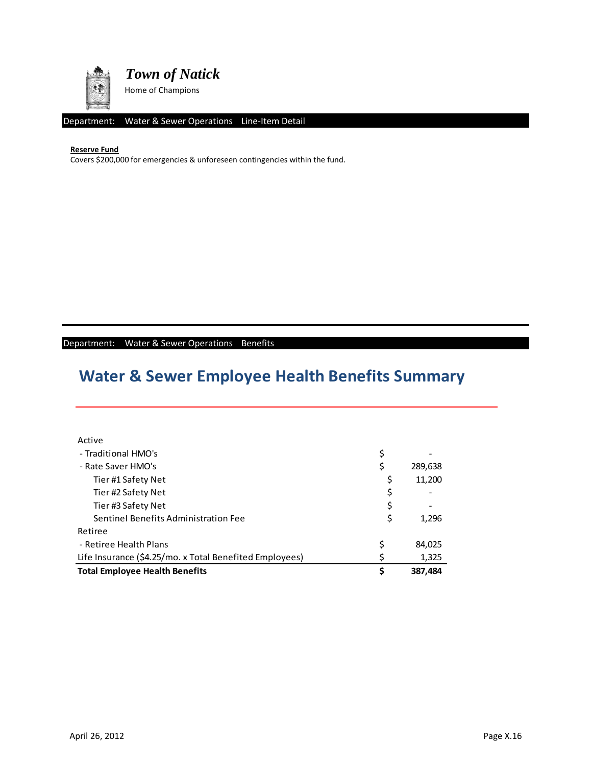

### *Town of Natick* Home of Champions

Department: Water & Sewer Operations Line-Item Detail

#### **Reserve Fund**

Covers \$200,000 for emergencies & unforeseen contingencies within the fund.

Department: Water & Sewer Operations Benefits

### **Water & Sewer Employee Health Benefits Summary**

| Active                                                  |    |         |
|---------------------------------------------------------|----|---------|
| - Traditional HMO's                                     | \$ |         |
| - Rate Saver HMO's                                      | \$ | 289,638 |
| Tier #1 Safety Net                                      | \$ | 11,200  |
| Tier #2 Safety Net                                      | \$ |         |
| Tier #3 Safety Net                                      | \$ |         |
| Sentinel Benefits Administration Fee                    | \$ | 1,296   |
| Retiree                                                 |    |         |
| - Retiree Health Plans                                  | \$ | 84,025  |
| Life Insurance (\$4.25/mo. x Total Benefited Employees) |    | 1,325   |
| <b>Total Employee Health Benefits</b>                   | S  | 387,484 |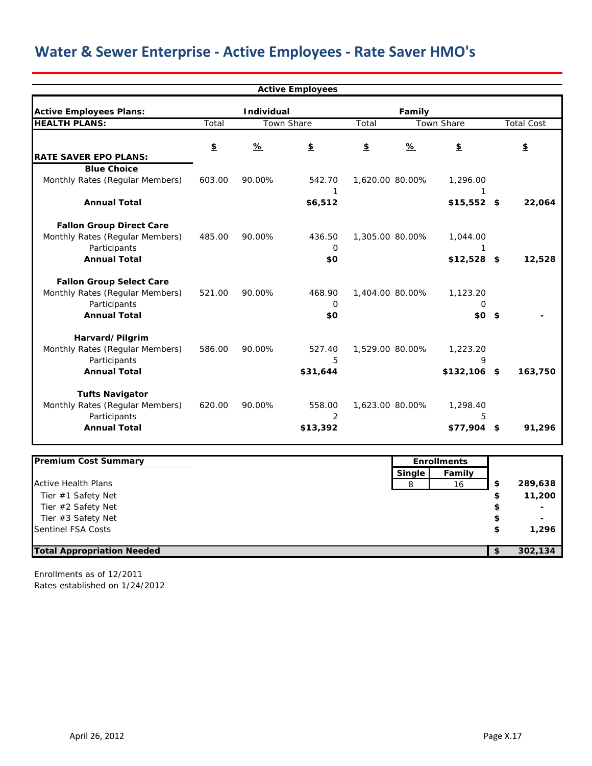### **Water & Sewer Enterprise ‐ Active Employees ‐ Rate Saver HMO's**

|                                                                                                                             |                          |                   | <b>Active Employees</b>   |                 |                    |                                    |                      |                           |
|-----------------------------------------------------------------------------------------------------------------------------|--------------------------|-------------------|---------------------------|-----------------|--------------------|------------------------------------|----------------------|---------------------------|
| <b>Active Employees Plans:</b>                                                                                              |                          | <b>Individual</b> |                           |                 | Family             |                                    |                      |                           |
| <b>HEALTH PLANS:</b>                                                                                                        | Total                    |                   | <b>Town Share</b>         |                 | <b>Town Share</b>  |                                    |                      | <b>Total Cost</b>         |
| <b>RATE SAVER EPO PLANS:</b>                                                                                                | $\mathbf{\underline{S}}$ | <u>%</u>          | $\mathbf{\underline{S}}$  | \$              | $\frac{96}{2}$     | $\mathbf{\underline{\$}}$          |                      | $\mathbf{\underline{\$}}$ |
| <b>Blue Choice</b>                                                                                                          |                          |                   |                           |                 |                    |                                    |                      |                           |
| Monthly Rates (Regular Members)                                                                                             | 603.00                   | 90.00%            | 542.70<br>1               | 1,620.00 80.00% |                    | 1,296.00<br>1                      |                      |                           |
| <b>Annual Total</b>                                                                                                         |                          |                   | \$6,512                   |                 |                    | $$15,552$ \$                       |                      | 22,064                    |
| <b>Fallon Group Direct Care</b><br>Monthly Rates (Regular Members)<br>Participants                                          | 485.00                   | 90.00%            | 436.50<br>$\mathbf 0$     | 1,305.00 80.00% |                    | 1,044.00<br>1                      |                      |                           |
| <b>Annual Total</b>                                                                                                         |                          |                   | \$0                       |                 |                    | $$12,528$ \$                       |                      | 12,528                    |
| <b>Fallon Group Select Care</b><br>Monthly Rates (Regular Members)<br>Participants<br><b>Annual Total</b>                   | 521.00                   | 90.00%            | 468.90<br>$\Omega$<br>\$0 | 1,404.00 80.00% |                    | 1,123.20<br>0<br>$$0$ \$           |                      |                           |
| Harvard/Pilgrim<br>Monthly Rates (Regular Members)<br>Participants<br><b>Annual Total</b>                                   | 586.00                   | 90.00%            | 527.40<br>5<br>\$31,644   | 1,529.00 80.00% |                    | 1,223.20<br>9<br>$$132,106$ \$     |                      | 163,750                   |
| <b>Tufts Navigator</b><br>Monthly Rates (Regular Members)<br>Participants<br><b>Annual Total</b>                            | 620.00                   | 90.00%            | 558.00<br>2<br>\$13,392   | 1,623.00 80.00% |                    | 1,298.40<br>5<br>$$77,904$ \$      |                      | 91,296                    |
|                                                                                                                             |                          |                   |                           |                 |                    |                                    |                      |                           |
| <b>Premium Cost Summary</b><br><b>Active Health Plans</b><br>Tier #1 Safety Net<br>Tier #2 Safety Net<br>Tier #3 Safety Net |                          |                   |                           |                 | <b>Single</b><br>8 | <b>Enrollments</b><br>Family<br>16 | \$<br>\$<br>\$<br>\$ | 289,638<br>11,200         |

Sentinel FSA Costs **\$ 1,296**

#### **Total Appropriation Needed \$ 302,134**

Enrollments as of 12/2011 Rates established on 1/24/2012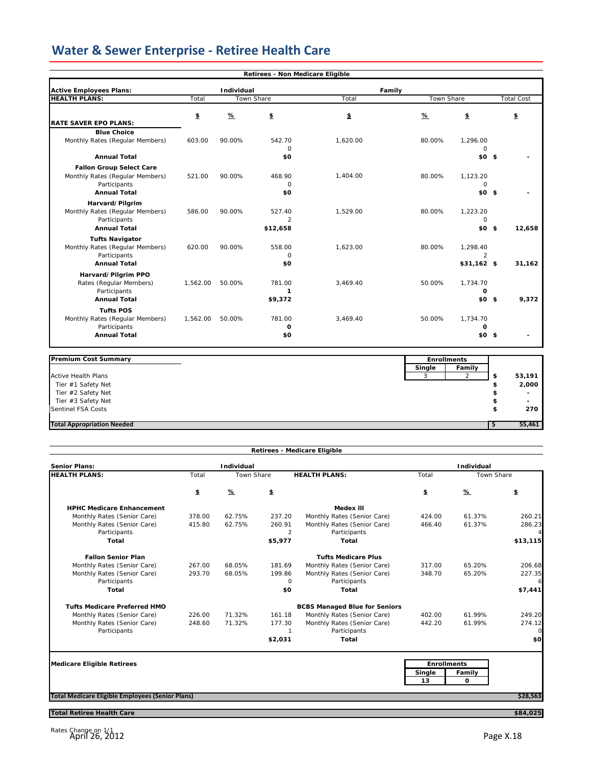|  |  |  | <b>Water &amp; Sewer Enterprise - Retiree Health Care</b> |  |  |  |
|--|--|--|-----------------------------------------------------------|--|--|--|
|--|--|--|-----------------------------------------------------------|--|--|--|

|                                                                                                           |          |                   | <b>Retirees - Non Medicare Eligible</b>        |          |                    |                                           |                   |  |
|-----------------------------------------------------------------------------------------------------------|----------|-------------------|------------------------------------------------|----------|--------------------|-------------------------------------------|-------------------|--|
| <b>Active Employees Plans:</b>                                                                            |          | <b>Individual</b> |                                                | Family   |                    |                                           |                   |  |
| <b>HEALTH PLANS:</b>                                                                                      | Total    | Town Share        |                                                | Total    | Town Share         |                                           | <b>Total Cost</b> |  |
| <b>RATE SAVER EPO PLANS:</b>                                                                              | \$       | $\frac{9}{6}$     | \$                                             | \$       | $\frac{9}{6}$      | \$                                        | \$                |  |
| <b>Blue Choice</b>                                                                                        |          |                   |                                                |          |                    |                                           |                   |  |
| Monthly Rates (Regular Members)                                                                           | 603.00   | 90.00%            | 542.70<br>$\Omega$                             | 1,620.00 | 80.00%             | 1,296.00<br>$\Omega$                      |                   |  |
| <b>Annual Total</b>                                                                                       |          |                   | \$0                                            |          |                    | $$0$ $$$                                  |                   |  |
| <b>Fallon Group Select Care</b><br>Monthly Rates (Regular Members)<br>Participants<br><b>Annual Total</b> | 521.00   | 90.00%            | 468.90<br>$\Omega$<br>\$0                      | 1,404.00 | 80.00%             | 1.123.20<br>$\Omega$<br>$$0$ \$           |                   |  |
| Harvard/Pilgrim                                                                                           |          |                   |                                                |          |                    |                                           |                   |  |
| Monthly Rates (Regular Members)<br>Participants<br><b>Annual Total</b>                                    | 586.00   | 90.00%            | 527.40<br>$\overline{\mathcal{L}}$<br>\$12,658 | 1.529.00 | 80.00%             | 1,223.20<br>$\Omega$<br>$$0$ \$           | 12,658            |  |
|                                                                                                           |          |                   |                                                |          |                    |                                           |                   |  |
| <b>Tufts Navigator</b><br>Monthly Rates (Regular Members)<br>Participants<br><b>Annual Total</b>          | 620.00   | 90.00%            | 558.00<br>$\circ$<br>\$0                       | 1,623.00 | 80.00%             | 1,298.40<br>$\mathcal{P}$<br>$$31,162$ \$ | 31,162            |  |
| Harvard/Pilgrim PPO                                                                                       |          |                   |                                                |          |                    |                                           |                   |  |
| Rates (Regular Members)<br>Participants<br><b>Annual Total</b>                                            | 1,562.00 | 50.00%            | 781.00<br>$\mathbf 1$<br>\$9,372               | 3,469.40 | 50.00%             | 1,734.70<br>O<br>$$0$ \$                  | 9,372             |  |
| <b>Tufts POS</b>                                                                                          |          |                   |                                                |          |                    |                                           |                   |  |
| Monthly Rates (Regular Members)<br>Participants                                                           | 1,562.00 | 50.00%            | 781.00<br>0                                    | 3.469.40 | 50.00%             | 1.734.70<br>O                             |                   |  |
| <b>Annual Total</b>                                                                                       |          |                   | \$0                                            |          |                    | $$0$ \$                                   |                   |  |
|                                                                                                           |          |                   |                                                |          |                    |                                           |                   |  |
| <b>Premium Cost Summary</b>                                                                               |          |                   |                                                |          | <b>Enrollments</b> |                                           |                   |  |
|                                                                                                           |          |                   |                                                |          |                    |                                           |                   |  |

| <b>Premium Cost Summary</b>       |        | <b>Enrollments</b> |                          |
|-----------------------------------|--------|--------------------|--------------------------|
|                                   | Single | Family             |                          |
| <b>Active Health Plans</b>        |        |                    | 53,191                   |
| Tier #1 Safety Net                |        |                    | 2,000                    |
| Tier #2 Safety Net                |        |                    | $\overline{\phantom{a}}$ |
| Tier #3 Safety Net                |        |                    | $\blacksquare$           |
| Sentinel FSA Costs                |        |                    | 270                      |
|                                   |        |                    |                          |
| <b>Total Appropriation Needed</b> |        |                    | 55,461                   |

|                                     |        |                   |          | Retirees - Medicare Eligible         |        |               |          |
|-------------------------------------|--------|-------------------|----------|--------------------------------------|--------|---------------|----------|
| <b>Senior Plans:</b>                |        | <b>Individual</b> |          |                                      |        | Individual    |          |
| <b>HEALTH PLANS:</b>                | Total  | Town Share        |          | <b>HEALTH PLANS:</b>                 | Total  | Town Share    |          |
|                                     | \$     | $\frac{9}{6}$     | \$       |                                      | \$     | $\frac{9}{6}$ | \$       |
| <b>HPHC Medicare Enhancement</b>    |        |                   |          | Medex III                            |        |               |          |
| Monthly Rates (Senior Care)         | 378.00 | 62.75%            | 237.20   | Monthly Rates (Senior Care)          | 424.00 | 61.37%        | 260.21   |
| Monthly Rates (Senior Care)         | 415.80 | 62.75%            | 260.91   | Monthly Rates (Senior Care)          | 466.40 | 61.37%        | 286.23   |
| Participants                        |        |                   | 2        | Participants                         |        |               |          |
| Total                               |        |                   | \$5,977  | Total                                |        |               | \$13,115 |
| <b>Fallon Senior Plan</b>           |        |                   |          | <b>Tufts Medicare Plus</b>           |        |               |          |
| Monthly Rates (Senior Care)         | 267.00 | 68.05%            | 181.69   | Monthly Rates (Senior Care)          | 317.00 | 65.20%        | 206.68   |
| Monthly Rates (Senior Care)         | 293.70 | 68.05%            | 199.86   | Monthly Rates (Senior Care)          | 348.70 | 65.20%        | 227.35   |
| Participants                        |        |                   | $\Omega$ | Participants                         |        |               |          |
| Total                               |        |                   | \$0      | Total                                |        |               | \$7,441  |
| <b>Tufts Medicare Preferred HMO</b> |        |                   |          | <b>BCBS Managed Blue for Seniors</b> |        |               |          |
| Monthly Rates (Senior Care)         | 226.00 | 71.32%            | 161.18   | Monthly Rates (Senior Care)          | 402.00 | 61.99%        | 249.20   |
| Monthly Rates (Senior Care)         | 248.60 | 71.32%            | 177.30   | Monthly Rates (Senior Care)          | 442.20 | 61.99%        | 274.12   |
| Participants                        |        |                   | 1        | Participants                         |        |               |          |
|                                     |        |                   | \$2,031  | Total                                |        |               | \$0      |

**Family**<br>0 **13 13** 

**Total Medicare Eligible Employees (Senior Plans) \$28,563**

**Total Retiree Health Care \$84,025**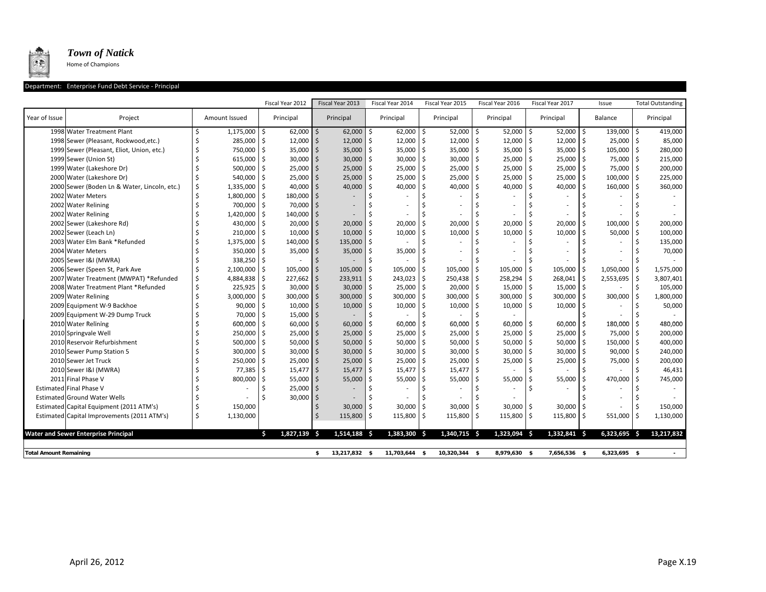

Home of Champions

#### Department: Enterprise Fund Debt Service ‐ Principal

|                               |                                              |    |               |     | Fiscal Year 2012 |              | Fiscal Year 2013 |    | Fiscal Year 2014 |     | Fiscal Year 2015 |      | Fiscal Year 2016 |               | Fiscal Year 2017 |     | Issue          |                     | <b>Total Outstanding</b> |
|-------------------------------|----------------------------------------------|----|---------------|-----|------------------|--------------|------------------|----|------------------|-----|------------------|------|------------------|---------------|------------------|-----|----------------|---------------------|--------------------------|
| Year of Issue                 | Project                                      |    | Amount Issued |     | Principal        |              | Principal        |    | Principal        |     | Principal        |      | Principal        |               | Principal        |     | <b>Balance</b> |                     | Principal                |
|                               | 1998 Water Treatment Plant                   | Ś  | 1,175,000     | -\$ | 62,000           | l\$          | 62,000           | \$ | 62,000           | \$  | 52,000 \$        |      | 52,000           | -\$           | 52,000           | -\$ | 139,000        | -\$                 | 419,000                  |
|                               | 1998 Sewer (Pleasant, Rockwood, etc.)        | \$ | 285,000       | \$  | 12,000           | Ŝ.           | 12,000           | Ś  | 12,000           | Ś   | 12,000 \$        |      | 12,000           | Ŝ.            | 12,000           | -\$ | 25,000         | $\ddot{\mathsf{S}}$ | 85,000                   |
|                               | 1999 Sewer (Pleasant, Eliot, Union, etc.)    | \$ | 750,000       | \$  | 35,000           | S.           | 35,000           | \$ | 35,000           | \$  | 35,000 \$        |      | 35,000           | -\$           | 35,000           | -\$ | 105,000        | l \$                | 280,000                  |
|                               | 1999 Sewer (Union St)                        |    | 615,000       | Ś   | 30,000           | Ŝ.           | 30,000           | Ś  | 30,000           | Ś   | 30,000           | -\$  | 25,000           | \$            | 25,000           | -\$ | 75,000         | -\$                 | 215,000                  |
|                               | 1999 Water (Lakeshore Dr)                    |    | 500,000       | Ś   | 25,000           | Ŝ.           | 25,000           | Ś  | 25,000           | Ś   | 25,000           | -\$  | 25,000           | \$            | 25,000           | Ŝ   | 75,000         | -\$                 | 200,000                  |
|                               | 2000 Water (Lakeshore Dr)                    |    | 540,000       | Ŝ.  | 25,000           | <sup>S</sup> | 25,000           | Ś  | 25,000           | Ŝ.  | 25,000           | Ŝ.   | 25,000           | \$            | 25,000           | \$  | 100,000        | Ŝ.                  | 225,000                  |
|                               | 2000 Sewer (Boden Ln & Water, Lincoln, etc.) | \$ | 1,335,000     | Ś   | 40,000           | S            | 40,000           | Ś  | 40,000           | Ś   | 40,000           | Ŝ.   | 40,000           | \$            | 40,000           | \$  | 160,000        | \$                  | 360,000                  |
|                               | 2002 Water Meters                            | Ś  | 1,800,000     | Ś   | 180,000          |              |                  |    |                  |     |                  |      |                  |               |                  |     |                |                     |                          |
|                               | 2002 Water Relining                          |    | 700,000       | Ś   | 70,000           | Ŝ.           |                  |    |                  |     |                  |      |                  |               |                  |     |                |                     |                          |
|                               | 2002 Water Relining                          |    | 1,420,000     | Ś   | 140,000          | Ŝ.           |                  |    |                  |     |                  |      |                  |               |                  |     |                |                     |                          |
|                               | 2002 Sewer (Lakeshore Rd)                    |    | 430,000       | Ś   | 20,000           | Ŝ.           | 20,000           | Ś  | 20,000           | Ŝ   | 20,000           | Ŝ.   | 20,000           | \$            | 20,000           | \$  | 100,000        | -\$                 | 200,000                  |
|                               | 2002 Sewer (Leach Ln)                        |    | 210,000       | Ś   | 10,000           | Ŝ.           | 10,000           | Ś  | 10,000           | Ś   | 10,000           | -\$  | 10,000           | \$            | 10,000           | -\$ | 50,000         | $\ddot{\mathsf{S}}$ | 100,000                  |
|                               | 2003 Water Elm Bank *Refunded                |    | 1,375,000     | Ś   | 140,000          | Ŝ.           | 135,000          | Ś  |                  |     |                  |      |                  |               |                  |     |                |                     | 135,000                  |
|                               | 2004 Water Meters                            |    | 350,000       | Ś   | 35,000           | Ŝ.           | 35,000           | Ś  | 35,000           | Ŝ   |                  |      |                  |               |                  |     |                |                     | 70,000                   |
|                               | 2005 Sewer I&I (MWRA)                        |    | 338,250       | Ŝ.  |                  |              |                  |    |                  |     |                  |      |                  |               |                  |     |                |                     |                          |
|                               | 2006 Sewer (Speen St, Park Ave               |    | 2,100,000     | Ŝ.  | 105,000          | Ŝ.           | 105,000          | Ś  | 105,000          | Ś   | 105,000          | Ŝ.   | 105,000          | Ŝ.            | 105,000          | Ŝ.  | 1,050,000      | -Ś                  | 1,575,000                |
|                               | 2007 Water Treatment (MWPAT) *Refunded       | \$ | 4,884,838     | \$  | 227,662          | \$           | 233,911          | Ś  | 243,023          | Ś   | 250,438          | -\$  | 258,294          | \$            | 268,041          | Ŝ   | 2,553,695      | -\$                 | 3,807,401                |
|                               | 2008 Water Treatment Plant *Refunded         | Ś  | 225,925       | Ś   | 30,000           | Ŝ.           | 30,000           | Ś  | 25,000           | Ś   | 20,000           | Ŝ.   | 15,000           | \$            | 15,000           | \$  |                |                     | 105,000                  |
|                               | 2009 Water Relining                          | Ś  | 3,000,000     | Ś   | 300,000          | \$           | 300,000          | \$ | 300,000          | \$  | 300,000          | \$   | 300,000          | \$            | 300,000          |     | 300,000        | -\$                 | 1,800,000                |
|                               | 2009 Equipment W-9 Backhoe                   | Ś  | 90,000        | Ś   | 10,000           | Ś.           | 10,000           | \$ | 10,000           | \$  | 10,000           | \$   | 10,000           | \$            | 10,000           | Ŝ   |                |                     | 50,000                   |
|                               | 2009 Equipment W-29 Dump Truck               |    | 70,000        | Ś   | 15,000           | Ŝ.           |                  |    |                  | Ś   |                  |      |                  |               |                  |     |                |                     |                          |
|                               | 2010 Water Relining                          |    | 600,000       | \$  | 60,000           | \$           | 60,000           | Ś  | 60,000           | Ś   | 60,000           | -\$  | 60,000           | -\$           | 60,000           | -S  | 180,000        | -\$                 | 480,000                  |
|                               | 2010 Springvale Well                         |    | 250,000       | Ś   | 25,000           | Ŝ.           | 25,000           | \$ | 25,000           | \$  | 25,000           | -\$  | 25,000           | \$            | 25,000           | -\$ | 75,000         | -\$                 | 200,000                  |
|                               | 2010 Reservoir Refurbishment                 |    | 500,000       | Ś   | 50,000           | Ŝ.           | 50,000           | Ś  | 50,000           | \$  | 50,000           | -\$  | 50,000           | S.            | 50,000           | -\$ | 150,000        | -\$                 | 400,000                  |
|                               | 2010 Sewer Pump Station 5                    |    | 300,000       | Ś   | 30,000           | Ŝ.           | 30,000           | Ś  | 30,000           | Ŝ.  | 30,000           | \$   | 30,000           | \$            | 30,000           | -\$ | 90,000         | -\$                 | 240,000                  |
|                               | 2010 Sewer Jet Truck                         |    | 250,000       | Ś   | 25,000           | \$           | 25,000           | Ś  | 25,000           | \$  | 25,000           | -\$  | 25,000           | S.            | 25,000           | Ŝ   | 75,000         | -\$                 | 200,000                  |
|                               | 2010 Sewer I&I (MWRA)                        |    | 77,385        | Ś   | 15,477           | Ŝ.           | 15,477           | Ś  | 15,477           | Ś   | 15,477           | l \$ |                  |               |                  |     |                | Ś                   | 46,431                   |
|                               | 2011 Final Phase V                           |    | 800,000       | Ś   | 55,000           | Ŝ.           | 55,000           | Ś  | 55,000           | Ś   | 55,000           | Ŝ.   | 55,000           | <sup>\$</sup> | 55,000           | Ś   | 470,000        | -\$                 | 745,000                  |
|                               | Estimated Final Phase V                      |    |               | Ś   | 25,000           | Ŝ.           |                  |    |                  |     |                  |      |                  | Š,            |                  |     |                |                     |                          |
|                               | <b>Estimated Ground Water Wells</b>          |    |               |     | 30,000           | -\$          |                  |    |                  |     |                  |      |                  |               |                  |     |                |                     |                          |
|                               | Estimated Capital Equipment (2011 ATM's)     | Ś  | 150,000       |     |                  |              | 30,000           | Ŝ  | 30,000           | -\$ | $30,000$ \$      |      | 30,000           | -\$           | 30,000           | -S  |                |                     | 150,000                  |
|                               | Estimated Capital Improvements (2011 ATM's)  | Ś  | 1,130,000     |     |                  |              | 115,800          | \$ | 115,800          | -\$ | 115,800 \$       |      | 115,800          | \$            | 115,800          | 1\$ | 551,000        | -\$                 | 1,130,000                |
|                               | <b>Water and Sewer Enterprise Principal</b>  |    |               | Ś.  | 1,827,139 \$     |              | 1,514,188 \$     |    | 1,383,300 \$     |     | 1,340,715 \$     |      | 1,323,094 \$     |               | 1,332,841 \$     |     | $6,323,695$ \$ |                     | 13,217,832               |
|                               |                                              |    |               |     |                  |              |                  |    |                  |     |                  |      |                  |               |                  |     |                |                     |                          |
| <b>Total Amount Remaining</b> |                                              |    |               |     |                  | \$           | 13,217,832 \$    |    | 11,703,644       | \$  | 10,320,344 \$    |      | 8,979,630 \$     |               | 7,656,536 \$     |     | 6,323,695 \$   |                     |                          |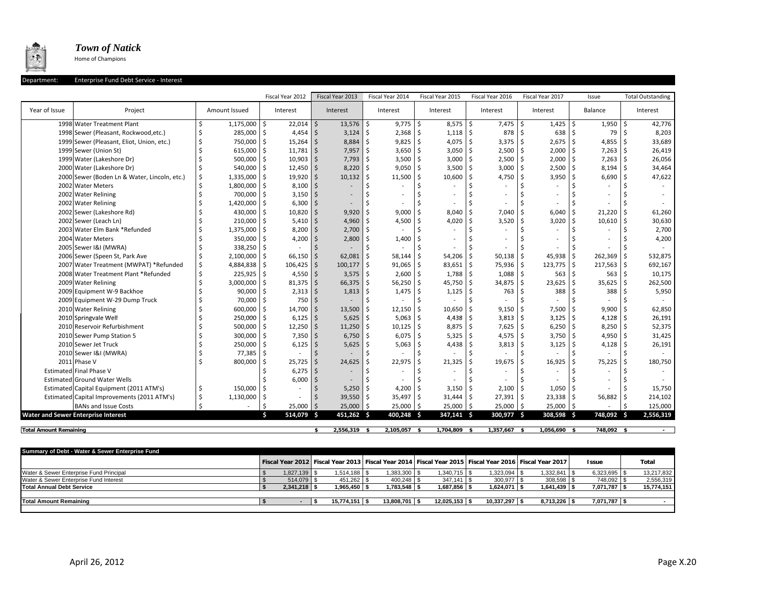

#### Department: Enterprise Fund Debt Service ‐ Interest

|                               |                                              |     |               |     | Fiscal Year 2012 |              | Fiscal Year 2013 |      | Fiscal Year 2014 |      | Fiscal Year 2015 |      | Fiscal Year 2016 |      | Fiscal Year 2017 |      | Issue      |    | <b>Total Outstanding</b> |
|-------------------------------|----------------------------------------------|-----|---------------|-----|------------------|--------------|------------------|------|------------------|------|------------------|------|------------------|------|------------------|------|------------|----|--------------------------|
| Year of Issue                 | Project                                      |     | Amount Issued |     | Interest         |              | Interest         |      | Interest         |      | Interest         |      | Interest         |      | Interest         |      | Balance    |    | Interest                 |
|                               | 1998 Water Treatment Plant                   |     | 1,175,000     | -\$ | $22,014$ \$      |              | $13,576$ \$      |      | 9,775            | l \$ | 8,575            | S,   | $7,475$ \$       |      | 1,425            | l \$ | 1,950      | Ŝ. | 42,776                   |
|                               | 1998 Sewer (Pleasant, Rockwood, etc.)        |     | 285,000 \$    |     | $4,454$ \$       |              | 3,124            | -\$  | 2,368            | l \$ | 1,118            | -\$  | 878              | \$   | 638              |      | 79         |    | 8,203                    |
|                               | 1999 Sewer (Pleasant, Eliot, Union, etc.)    |     | 750,000 \$    |     | $15,264$ \$      |              | 8,884            | -\$  | 9,825            | l \$ | 4,075            | S,   | 3,375            | -Ś   | 2,675            | Ś    | 4,855      | Ŝ. | 33,689                   |
|                               | 1999 Sewer (Union St)                        |     | 615,000       | -\$ | $11,781$ \$      |              | 7,957            | -Ś   | 3,650            | l \$ | 3,050            | Ŝ.   | 2,500            | Ŝ.   | 2,000            | ς.   | 7,263      | Ŝ. | 26,419                   |
|                               | 1999 Water (Lakeshore Dr)                    |     | 500,000       | -\$ | $10,903$ \$      |              | 7,793            | Ŝ    | 3,500            | -Ś   | 3,000            |      | 2,500            | Ŝ.   | 2,000            | Ś    | 7,263      | Ŝ. | 26,056                   |
|                               | 2000 Water (Lakeshore Dr)                    |     | 540,000       | Ŝ.  | $12,450$ \$      |              | 8,220            | Ŝ    | 9,050            | l \$ | 3,500            | Ŝ.   | 3,000            | -Ś   | 2,500            | Ŝ.   | 8,194      | Ŝ. | 34,464                   |
|                               | 2000 Sewer (Boden Ln & Water, Lincoln, etc.) | -\$ | 1,335,000     | S.  | $19,920$ \$      |              | $10,132$ \$      |      | 11,500           | l \$ | 10,600           | S,   | 4,750            | -\$  | 3,950            | \$   | 6,690      | Ŝ. | 47,622                   |
|                               | 2002 Water Meters                            |     | 1,800,000 \$  |     | $8,100$ \$       |              |                  |      |                  |      |                  |      |                  |      |                  |      |            |    |                          |
|                               | 2002 Water Relining                          |     | 700,000 \$    |     | $3,150$ \$       |              |                  |      |                  |      |                  |      |                  |      |                  |      |            |    |                          |
|                               | 2002 Water Relining                          |     | 1,420,000     | \$  | $6,300$ \$       |              |                  |      |                  |      |                  |      |                  |      |                  |      |            |    |                          |
|                               | 2002 Sewer (Lakeshore Rd)                    |     | 430,000       | -\$ | $10,820$ \$      |              | 9,920            | Ŝ    | 9,000            | -Ś   | 8,040            |      | 7,040            |      | 6,040            | Ŝ    | 21,220     | Ŝ  | 61,260                   |
|                               | 2002 Sewer (Leach Ln)                        |     | 210,000       | S.  | $5,410$ \$       |              | 4,960            | -\$  | 4,500            |      | 4,020            |      | 3,520            | Ŝ.   | 3,020            | Ś    | 10,610     | ς  | 30,630                   |
|                               | 2003 Water Elm Bank *Refunded                |     | 1,375,000     | Ŝ.  | $8,200$ \$       |              | $2,700$ \$       |      |                  |      |                  |      |                  |      |                  |      |            |    | 2,700                    |
|                               | 2004 Water Meters                            |     | 350,000       | -\$ | $4,200$ \$       |              | 2,800            | .S   | 1,400            |      |                  |      |                  |      |                  |      |            |    | 4,200                    |
|                               | 2005 Sewer I&I (MWRA)                        |     | 338,250       | -Ś  |                  |              |                  |      |                  |      |                  |      |                  |      |                  |      |            |    |                          |
|                               | 2006 Sewer (Speen St, Park Ave               |     | 2,100,000     | S.  | 66,150           | l\$          | 62,081           | -\$  | 58,144           | l \$ | 54,206           | -\$  | 50,138           | Ŝ.   | 45,938           | Ŝ    | 262,369    | Ŝ. | 532,875                  |
|                               | 2007 Water Treatment (MWPAT) *Refunded       |     | 4,884,838     | S.  | $106,425$ \$     |              | 100,177          | \$   | 91,065           | l\$  | 83,651           | S,   | 75,936           | l \$ | 123,775          | Ŝ.   | 217,563    | \$ | 692,167                  |
|                               | 2008 Water Treatment Plant *Refunded         |     | 225,925       | S.  | 4,550 \$         |              | 3,575            | -Ś   | 2,600            | -S   | 1,788            | -Ś   | 1,088            | S.   | 563              | Ś    | 563        | Ś  | 10,175                   |
|                               | 2009 Water Relining                          |     | 3,000,000     | S.  | $81,375$ \$      |              | $66,375$ \$      |      | 56,250           |      | 45,750           | -Ś   | 34,875           | l s  | 23,625           | Ŝ.   | 35,625     | \$ | 262,500                  |
|                               | 2009 Equipment W-9 Backhoe                   |     | 90,000        | Ŝ.  | $2,313$ \$       |              | 1,813            | -Ś   | 1,475            | l S  | 1,125            | Ś    | 763              | Ŝ.   | 388              | Ŝ    | 388        |    | 5,950                    |
|                               | 2009 Equipment W-29 Dump Truck               |     | 70,000        | S.  | 750 \$           |              |                  |      |                  |      |                  |      |                  |      |                  |      |            |    |                          |
|                               | 2010 Water Relining                          |     | 600,000       | -\$ | $14,700$ \$      |              | 13,500           | -\$  | 12,150           | l \$ | 10,650           |      | 9,150            | -\$  | 7,500            | Ś    | 9,900      | Ś  | 62,850                   |
|                               | 2010 Springvale Well                         |     | 250,000       | S.  | $6,125$ \$       |              | 5,625            | -\$  | 5,063            | l \$ | 4,438            | -\$  | $3,813$ \$       |      | 3,125            | Ŝ.   | 4,128      | Ŝ. | 26,191                   |
|                               | 2010 Reservoir Refurbishment                 |     | 500,000       | S.  | $12,250$ \$      |              | 11,250           | -Ś   | 10,125           | l \$ | 8,875            | -Ś   | 7,625            | \$   | $6,250$ \$       |      | 8,250      | Ŝ. | 52,375                   |
|                               | 2010 Sewer Pump Station 5                    |     | 300,000       | Ŝ.  | $7,350$ \$       |              | 6,750            | -Ś   | 6,075            | l \$ | 5,325            |      | 4,575            | -Ś   | 3,750            | Ŝ.   | 4,950      | \$ | 31,425                   |
|                               | 2010 Sewer Jet Truck                         |     | 250,000       | -Ś  | $6,125$ \$       |              | 5,625            | -Ś   | 5,063            | l S  | 4,438            | -S   | 3,813            | Ŝ.   | 3,125            | Ŝ    | 4,128      | Ś  | 26,191                   |
|                               | 2010 Sewer I&I (MWRA)                        |     | 77,385        | -\$ |                  |              |                  |      |                  |      |                  |      |                  |      |                  |      |            |    |                          |
|                               | 2011 Phase V                                 |     | 800,000       | Ŝ.  | 25,725           | $\mathsf{S}$ | 24,625           |      | 22,975           |      | 21,325           |      | 19,675           |      | 16,925           |      | 75,225     |    | 180,750                  |
|                               | <b>Estimated Final Phase V</b>               |     |               |     | 6,275            | l \$         |                  |      |                  |      |                  |      |                  |      |                  |      |            |    |                          |
|                               | <b>Estimated Ground Water Wells</b>          |     |               |     | 6,000            | -Ś           |                  |      |                  |      |                  |      |                  |      |                  |      |            |    |                          |
|                               | Estimated Capital Equipment (2011 ATM's)     |     | 150,000       |     |                  |              | 5,250            |      | 4,200            |      | 3,150            |      | 2,100            | Ŝ.   | 1,050            | Ŝ    |            |    | 15,750                   |
|                               | Estimated Capital Improvements (2011 ATM's)  | -\$ | 1,130,000     | S.  |                  |              | $39,550$ \$      |      | 35,497 \$        |      | 31,444           | -\$  | $27,391$ \$      |      | $23,338$ \$      |      | 56,882     | \$ | 214,102                  |
|                               | <b>BANs and Issue Costs</b>                  |     |               |     | $25,000$ \$      |              | $25,000$ \$      |      | $25,000$ \$      |      | 25,000 \$        |      | 25,000 \$        |      | $25,000$ \$      |      |            | \$ | 125,000                  |
|                               | <b>Water and Sewer Enterprise Interest</b>   |     |               | Ŝ   | 514,079 \$       |              | 451,262 \$       |      | 400,248 \$       |      | 347,141 \$       |      | 300,977 \$       |      | 308,598 \$       |      | 748,092 \$ |    | 2,556,319                |
| <b>Total Amount Remaining</b> |                                              |     |               |     |                  | Ŝ.           | 2,556,319        | - \$ | 2,105,057 \$     |      | 1,704,809        | - \$ | 1,357,667 \$     |      | 1,056,690 \$     |      | 748.092 \$ |    |                          |

| Summary of Debt - Water & Sewer Enterprise Fund |                 |                   |                 |                                                                                                                 |                 |                |              |            |
|-------------------------------------------------|-----------------|-------------------|-----------------|-----------------------------------------------------------------------------------------------------------------|-----------------|----------------|--------------|------------|
|                                                 |                 |                   |                 | Fiscal Year 2012   Fiscal Year 2013   Fiscal Year 2014   Fiscal Year 2015   Fiscal Year 2016   Fiscal Year 2017 |                 |                | <b>Issue</b> | Total      |
| Water & Sewer Enterprise Fund Principal         | $.827.139$ \ \$ |                   | $1.383.300$ \$  | $1.340.715$ \$                                                                                                  | 1.323.094 \$    | 1.332.841   \$ | 6.323.695    | 13.217.832 |
| Water & Sewer Enterprise Fund Interest          | 514.079 \$      | 451,262 \$        |                 | $347.141$ \ \$                                                                                                  | 300.977 \$      | 308.598 \$     | 748,092 \$   | 2.556.319  |
| <b>Total Annual Debt Service</b>                | $2,341,218$ \$  | $1,965,450$ \$    | $1,783,548$ \$  | $1,687,856$ \$                                                                                                  | $1,624,071$ \$  | $1,641,439$ \$ | 7,071,787 \$ | 15,774,151 |
|                                                 |                 |                   |                 |                                                                                                                 |                 |                |              |            |
| Total Amount Remaining                          |                 | $15.774.151$ \ \$ | $13,808,701$ \$ | $12,025,153$ \$                                                                                                 | $10,337,297$ \$ | $8,713,226$ \$ | 7,071,787 \$ |            |
|                                                 |                 |                   |                 |                                                                                                                 |                 |                |              |            |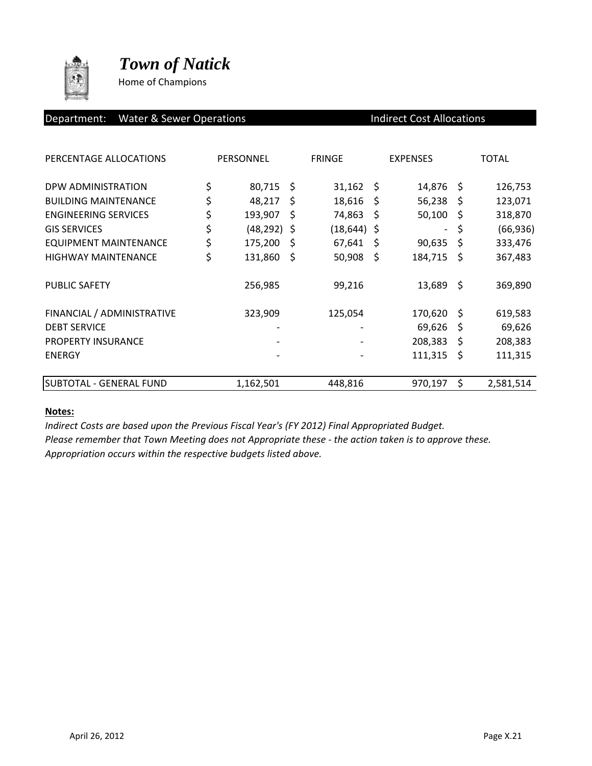

### Home of Champions

#### Department: Water & Sewer Operations **Indirect Cost Allocations**

| PERCENTAGE ALLOCATIONS       | PERSONNEL            |              | <b>FRINGE</b>  |     | <b>EXPENSES</b>          |      | <b>TOTAL</b> |
|------------------------------|----------------------|--------------|----------------|-----|--------------------------|------|--------------|
| DPW ADMINISTRATION           | \$<br>80,715         | - \$         | 31,162         | -Ŝ  | 14,876 \$                |      | 126,753      |
| <b>BUILDING MAINTENANCE</b>  | \$<br>48,217         | Ŝ.           | 18,616         | S   | 56,238                   | -S   | 123,071      |
| <b>ENGINEERING SERVICES</b>  | 193,907              | Ŝ.           | 74,863         | \$. | 50,100                   | S    | 318,870      |
| <b>GIS SERVICES</b>          | \$<br>$(48, 292)$ \$ |              | $(18, 644)$ \$ |     | $\overline{\phantom{0}}$ | \$   | (66, 936)    |
| <b>EQUIPMENT MAINTENANCE</b> | \$<br>175,200        | <sup>S</sup> | 67,641         | S   | 90,635                   | Ŝ    | 333,476      |
| <b>HIGHWAY MAINTENANCE</b>   | \$<br>131,860        | -\$          | 50,908         | \$  | 184,715                  | -S   | 367,483      |
| <b>PUBLIC SAFETY</b>         | 256,985              |              | 99,216         |     | 13,689                   | - \$ | 369,890      |
| FINANCIAL / ADMINISTRATIVE   | 323,909              |              | 125,054        |     | 170,620 \$               |      | 619,583      |
| <b>DEBT SERVICE</b>          |                      |              |                |     | 69,626                   | S    | 69,626       |
| <b>PROPERTY INSURANCE</b>    |                      |              |                |     | 208,383                  | -S   | 208,383      |
| <b>ENERGY</b>                |                      |              |                |     | 111,315                  | \$   | 111,315      |
| SUBTOTAL - GENERAL FUND      | 1,162,501            |              | 448,816        |     | 970,197                  | S    | 2,581,514    |

#### **Notes:**

*Indirect Costs are based upon the Previous Fiscal Year's (FY 2012) Final Appropriated Budget. Please remember that Town Meeting does not Appropriate these ‐ the action taken is to approve these. Appropriation occurs within the respective budgets listed above.*